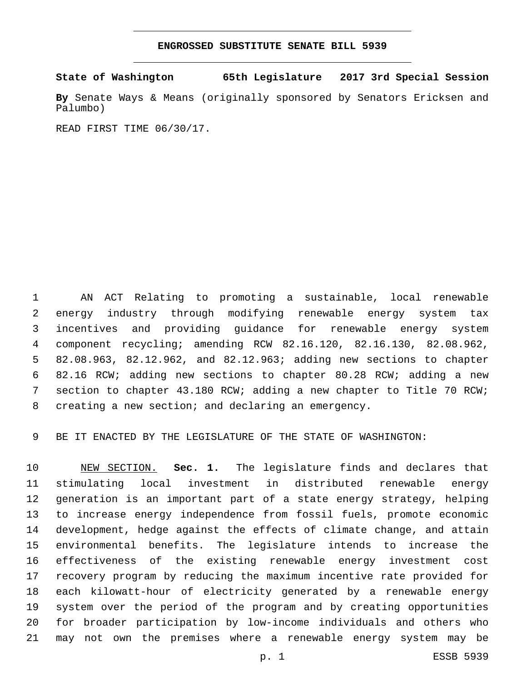## **ENGROSSED SUBSTITUTE SENATE BILL 5939**

**State of Washington 65th Legislature 2017 3rd Special Session**

**By** Senate Ways & Means (originally sponsored by Senators Ericksen and Palumbo)

READ FIRST TIME 06/30/17.

 AN ACT Relating to promoting a sustainable, local renewable energy industry through modifying renewable energy system tax incentives and providing guidance for renewable energy system component recycling; amending RCW 82.16.120, 82.16.130, 82.08.962, 82.08.963, 82.12.962, and 82.12.963; adding new sections to chapter 82.16 RCW; adding new sections to chapter 80.28 RCW; adding a new section to chapter 43.180 RCW; adding a new chapter to Title 70 RCW; creating a new section; and declaring an emergency.

BE IT ENACTED BY THE LEGISLATURE OF THE STATE OF WASHINGTON:

 NEW SECTION. **Sec. 1.** The legislature finds and declares that stimulating local investment in distributed renewable energy generation is an important part of a state energy strategy, helping to increase energy independence from fossil fuels, promote economic development, hedge against the effects of climate change, and attain environmental benefits. The legislature intends to increase the effectiveness of the existing renewable energy investment cost recovery program by reducing the maximum incentive rate provided for each kilowatt-hour of electricity generated by a renewable energy system over the period of the program and by creating opportunities for broader participation by low-income individuals and others who may not own the premises where a renewable energy system may be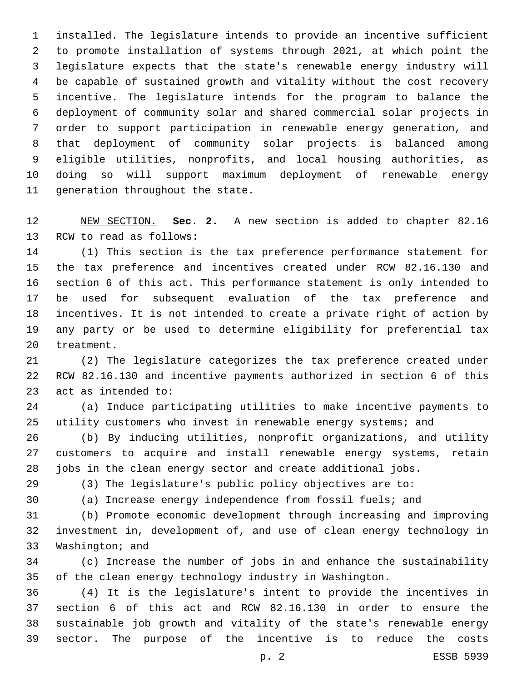installed. The legislature intends to provide an incentive sufficient to promote installation of systems through 2021, at which point the legislature expects that the state's renewable energy industry will be capable of sustained growth and vitality without the cost recovery incentive. The legislature intends for the program to balance the deployment of community solar and shared commercial solar projects in order to support participation in renewable energy generation, and that deployment of community solar projects is balanced among eligible utilities, nonprofits, and local housing authorities, as doing so will support maximum deployment of renewable energy 11 generation throughout the state.

 NEW SECTION. **Sec. 2.** A new section is added to chapter 82.16 13 RCW to read as follows:

 (1) This section is the tax preference performance statement for the tax preference and incentives created under RCW 82.16.130 and section 6 of this act. This performance statement is only intended to be used for subsequent evaluation of the tax preference and incentives. It is not intended to create a private right of action by any party or be used to determine eligibility for preferential tax 20 treatment.

 (2) The legislature categorizes the tax preference created under RCW 82.16.130 and incentive payments authorized in section 6 of this 23 act as intended to:

 (a) Induce participating utilities to make incentive payments to utility customers who invest in renewable energy systems; and

 (b) By inducing utilities, nonprofit organizations, and utility customers to acquire and install renewable energy systems, retain jobs in the clean energy sector and create additional jobs.

(3) The legislature's public policy objectives are to:

(a) Increase energy independence from fossil fuels; and

 (b) Promote economic development through increasing and improving investment in, development of, and use of clean energy technology in 33 Washington; and

 (c) Increase the number of jobs in and enhance the sustainability of the clean energy technology industry in Washington.

 (4) It is the legislature's intent to provide the incentives in section 6 of this act and RCW 82.16.130 in order to ensure the sustainable job growth and vitality of the state's renewable energy sector. The purpose of the incentive is to reduce the costs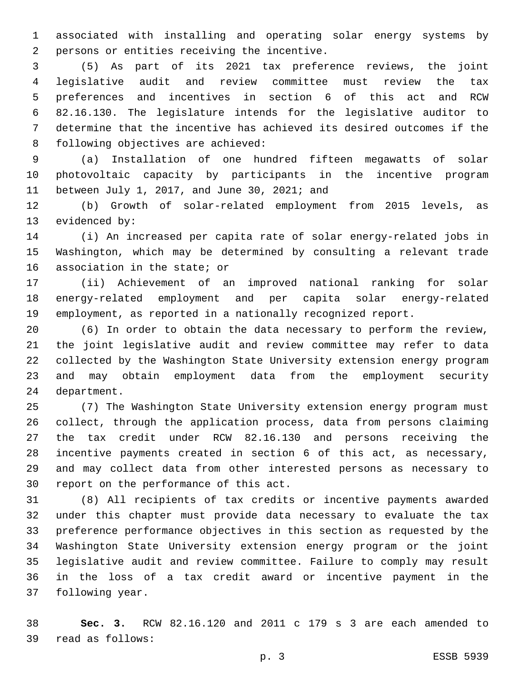associated with installing and operating solar energy systems by 2 persons or entities receiving the incentive.

 (5) As part of its 2021 tax preference reviews, the joint legislative audit and review committee must review the tax preferences and incentives in section 6 of this act and RCW 82.16.130. The legislature intends for the legislative auditor to determine that the incentive has achieved its desired outcomes if the 8 following objectives are achieved:

 (a) Installation of one hundred fifteen megawatts of solar photovoltaic capacity by participants in the incentive program 11 between July 1, 2017, and June 30, 2021; and

 (b) Growth of solar-related employment from 2015 levels, as 13 evidenced by:

 (i) An increased per capita rate of solar energy-related jobs in Washington, which may be determined by consulting a relevant trade 16 association in the state; or

 (ii) Achievement of an improved national ranking for solar energy-related employment and per capita solar energy-related employment, as reported in a nationally recognized report.

 (6) In order to obtain the data necessary to perform the review, the joint legislative audit and review committee may refer to data collected by the Washington State University extension energy program and may obtain employment data from the employment security 24 department.

 (7) The Washington State University extension energy program must collect, through the application process, data from persons claiming the tax credit under RCW 82.16.130 and persons receiving the incentive payments created in section 6 of this act, as necessary, and may collect data from other interested persons as necessary to 30 report on the performance of this act.

 (8) All recipients of tax credits or incentive payments awarded under this chapter must provide data necessary to evaluate the tax preference performance objectives in this section as requested by the Washington State University extension energy program or the joint legislative audit and review committee. Failure to comply may result in the loss of a tax credit award or incentive payment in the 37 following year.

 **Sec. 3.** RCW 82.16.120 and 2011 c 179 s 3 are each amended to read as follows:39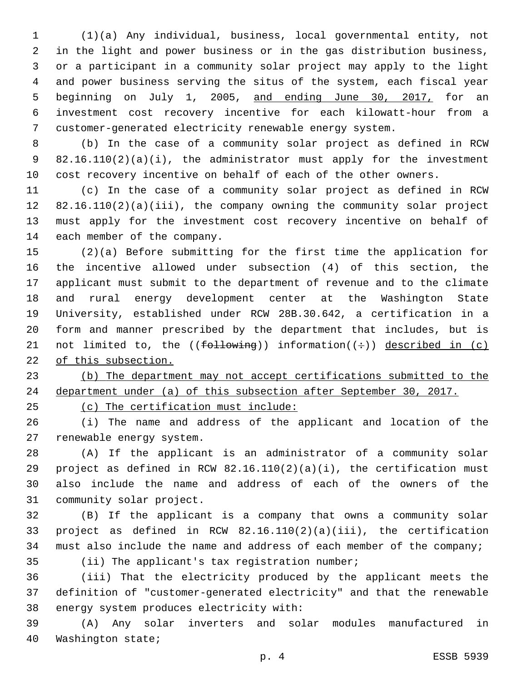(1)(a) Any individual, business, local governmental entity, not in the light and power business or in the gas distribution business, or a participant in a community solar project may apply to the light and power business serving the situs of the system, each fiscal year 5 beginning on July 1, 2005, and ending June 30, 2017, for an investment cost recovery incentive for each kilowatt-hour from a customer-generated electricity renewable energy system.

 (b) In the case of a community solar project as defined in RCW 82.16.110(2)(a)(i), the administrator must apply for the investment cost recovery incentive on behalf of each of the other owners.

 (c) In the case of a community solar project as defined in RCW 82.16.110(2)(a)(iii), the company owning the community solar project must apply for the investment cost recovery incentive on behalf of 14 each member of the company.

 (2)(a) Before submitting for the first time the application for the incentive allowed under subsection (4) of this section, the applicant must submit to the department of revenue and to the climate and rural energy development center at the Washington State University, established under RCW 28B.30.642, a certification in a form and manner prescribed by the department that includes, but is 21 not limited to, the (( $f$ ollowing)) information( $(\div)$ ) described in (c) of this subsection.

 (b) The department may not accept certifications submitted to the department under (a) of this subsection after September 30, 2017.

(c) The certification must include:

 (i) The name and address of the applicant and location of the 27 renewable energy system.

 (A) If the applicant is an administrator of a community solar project as defined in RCW 82.16.110(2)(a)(i), the certification must also include the name and address of each of the owners of the 31 community solar project.

 (B) If the applicant is a company that owns a community solar project as defined in RCW 82.16.110(2)(a)(iii), the certification 34 must also include the name and address of each member of the company;

35 (ii) The applicant's tax registration number;

 (iii) That the electricity produced by the applicant meets the definition of "customer-generated electricity" and that the renewable 38 energy system produces electricity with:

 (A) Any solar inverters and solar modules manufactured in 40 Washington state;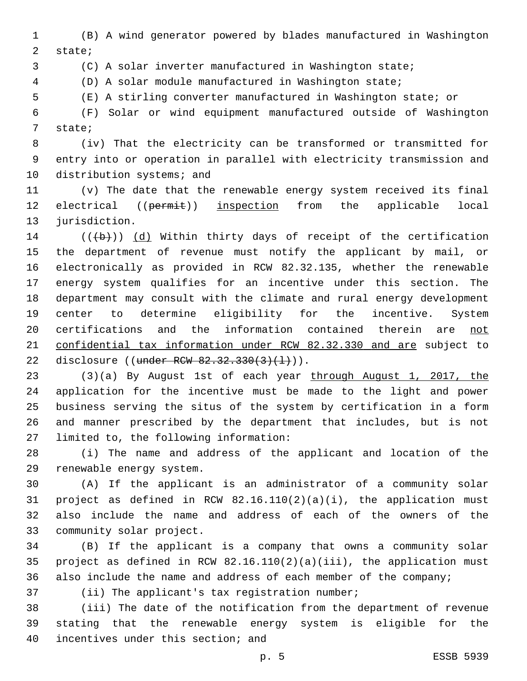(B) A wind generator powered by blades manufactured in Washington 2 state;

(C) A solar inverter manufactured in Washington state;

(D) A solar module manufactured in Washington state;

(E) A stirling converter manufactured in Washington state; or

 (F) Solar or wind equipment manufactured outside of Washington 7 state;

 (iv) That the electricity can be transformed or transmitted for entry into or operation in parallel with electricity transmission and 10 distribution systems; and

 (v) The date that the renewable energy system received its final 12 electrical ((permit)) inspection from the applicable local 13 jurisdiction.

 (( $\left(\frac{1}{2}\right)$ ) (d) Within thirty days of receipt of the certification the department of revenue must notify the applicant by mail, or electronically as provided in RCW 82.32.135, whether the renewable energy system qualifies for an incentive under this section. The department may consult with the climate and rural energy development center to determine eligibility for the incentive. System certifications and the information contained therein are not confidential tax information under RCW 82.32.330 and are subject to 22 disclosure ((under RCW 82.32.330(3)(1))).

 (3)(a) By August 1st of each year through August 1, 2017, the application for the incentive must be made to the light and power business serving the situs of the system by certification in a form and manner prescribed by the department that includes, but is not 27 limited to, the following information:

 (i) The name and address of the applicant and location of the 29 renewable energy system.

 (A) If the applicant is an administrator of a community solar project as defined in RCW 82.16.110(2)(a)(i), the application must also include the name and address of each of the owners of the 33 community solar project.

 (B) If the applicant is a company that owns a community solar project as defined in RCW 82.16.110(2)(a)(iii), the application must also include the name and address of each member of the company;

37 (ii) The applicant's tax registration number;

 (iii) The date of the notification from the department of revenue stating that the renewable energy system is eligible for the 40 incentives under this section; and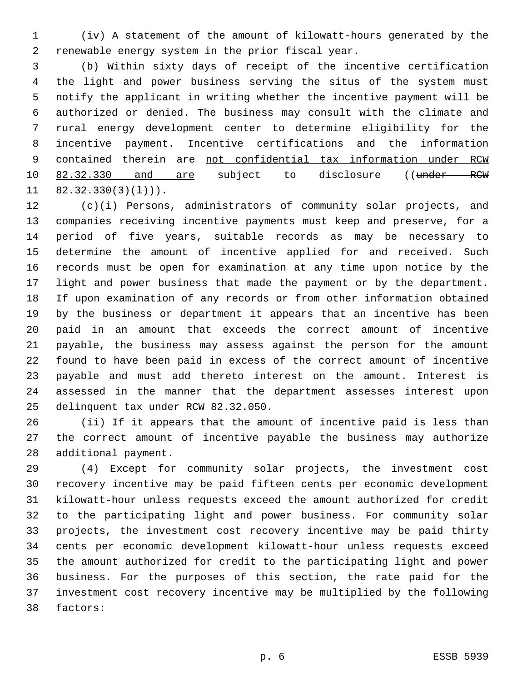(iv) A statement of the amount of kilowatt-hours generated by the 2 renewable energy system in the prior fiscal year.

 (b) Within sixty days of receipt of the incentive certification the light and power business serving the situs of the system must notify the applicant in writing whether the incentive payment will be authorized or denied. The business may consult with the climate and rural energy development center to determine eligibility for the incentive payment. Incentive certifications and the information contained therein are not confidential tax information under RCW 10 82.32.330 and are subject to disclosure ((under RCW  $11 \quad 82.32.330(3)(1)$ ).

 (c)(i) Persons, administrators of community solar projects, and companies receiving incentive payments must keep and preserve, for a period of five years, suitable records as may be necessary to determine the amount of incentive applied for and received. Such records must be open for examination at any time upon notice by the light and power business that made the payment or by the department. If upon examination of any records or from other information obtained by the business or department it appears that an incentive has been paid in an amount that exceeds the correct amount of incentive payable, the business may assess against the person for the amount found to have been paid in excess of the correct amount of incentive payable and must add thereto interest on the amount. Interest is assessed in the manner that the department assesses interest upon 25 delinquent tax under RCW 82.32.050.

 (ii) If it appears that the amount of incentive paid is less than the correct amount of incentive payable the business may authorize 28 additional payment.

 (4) Except for community solar projects, the investment cost recovery incentive may be paid fifteen cents per economic development kilowatt-hour unless requests exceed the amount authorized for credit to the participating light and power business. For community solar projects, the investment cost recovery incentive may be paid thirty cents per economic development kilowatt-hour unless requests exceed the amount authorized for credit to the participating light and power business. For the purposes of this section, the rate paid for the investment cost recovery incentive may be multiplied by the following 38 factors: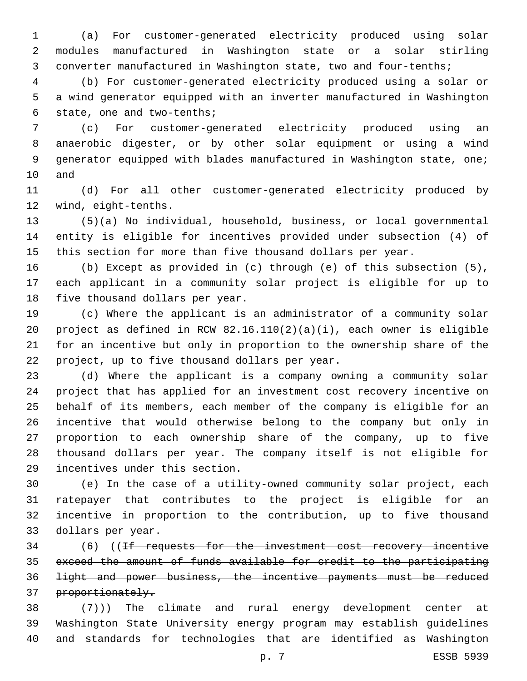(a) For customer-generated electricity produced using solar modules manufactured in Washington state or a solar stirling converter manufactured in Washington state, two and four-tenths;

 (b) For customer-generated electricity produced using a solar or a wind generator equipped with an inverter manufactured in Washington 6 state, one and two-tenths;

 (c) For customer-generated electricity produced using an anaerobic digester, or by other solar equipment or using a wind generator equipped with blades manufactured in Washington state, one; 10 and

 (d) For all other customer-generated electricity produced by 12 wind, eight-tenths.

 (5)(a) No individual, household, business, or local governmental entity is eligible for incentives provided under subsection (4) of this section for more than five thousand dollars per year.

 (b) Except as provided in (c) through (e) of this subsection (5), each applicant in a community solar project is eligible for up to 18 five thousand dollars per year.

 (c) Where the applicant is an administrator of a community solar project as defined in RCW 82.16.110(2)(a)(i), each owner is eligible for an incentive but only in proportion to the ownership share of the 22 project, up to five thousand dollars per year.

 (d) Where the applicant is a company owning a community solar project that has applied for an investment cost recovery incentive on behalf of its members, each member of the company is eligible for an incentive that would otherwise belong to the company but only in proportion to each ownership share of the company, up to five thousand dollars per year. The company itself is not eligible for 29 incentives under this section.

 (e) In the case of a utility-owned community solar project, each ratepayer that contributes to the project is eligible for an incentive in proportion to the contribution, up to five thousand 33 dollars per year.

 (6) ((If requests for the investment cost recovery incentive exceed the amount of funds available for credit to the participating light and power business, the incentive payments must be reduced 37 proportionately.

 $(38 + (7))$  The climate and rural energy development center at Washington State University energy program may establish guidelines and standards for technologies that are identified as Washington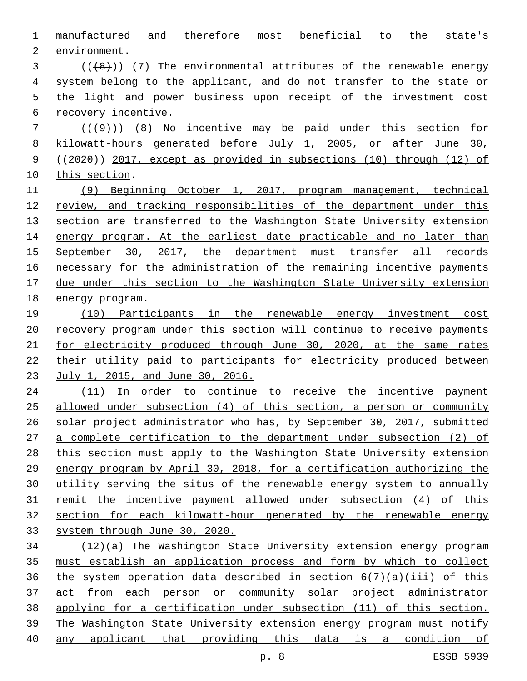manufactured and therefore most beneficial to the state's 2 environment.

 ( $(\frac{48}{})$ ) (7) The environmental attributes of the renewable energy system belong to the applicant, and do not transfer to the state or the light and power business upon receipt of the investment cost 6 recovery incentive.

 ( $(\frac{49}{1})$ ) (8) No incentive may be paid under this section for kilowatt-hours generated before July 1, 2005, or after June 30, ((2020)) 2017, except as provided in subsections (10) through (12) of 10 this section.

 (9) Beginning October 1, 2017, program management, technical review, and tracking responsibilities of the department under this 13 section are transferred to the Washington State University extension 14 energy program. At the earliest date practicable and no later than September 30, 2017, the department must transfer all records 16 necessary for the administration of the remaining incentive payments due under this section to the Washington State University extension energy program.

 (10) Participants in the renewable energy investment cost recovery program under this section will continue to receive payments 21 for electricity produced through June 30, 2020, at the same rates their utility paid to participants for electricity produced between July 1, 2015, and June 30, 2016.

24 (11) In order to continue to receive the incentive payment allowed under subsection (4) of this section, a person or community solar project administrator who has, by September 30, 2017, submitted a complete certification to the department under subsection (2) of this section must apply to the Washington State University extension energy program by April 30, 2018, for a certification authorizing the utility serving the situs of the renewable energy system to annually remit the incentive payment allowed under subsection (4) of this section for each kilowatt-hour generated by the renewable energy system through June 30, 2020.

 (12)(a) The Washington State University extension energy program must establish an application process and form by which to collect 36 the system operation data described in section  $6(7)(a)(iii)$  of this act from each person or community solar project administrator applying for a certification under subsection (11) of this section. The Washington State University extension energy program must notify any applicant that providing this data is a condition of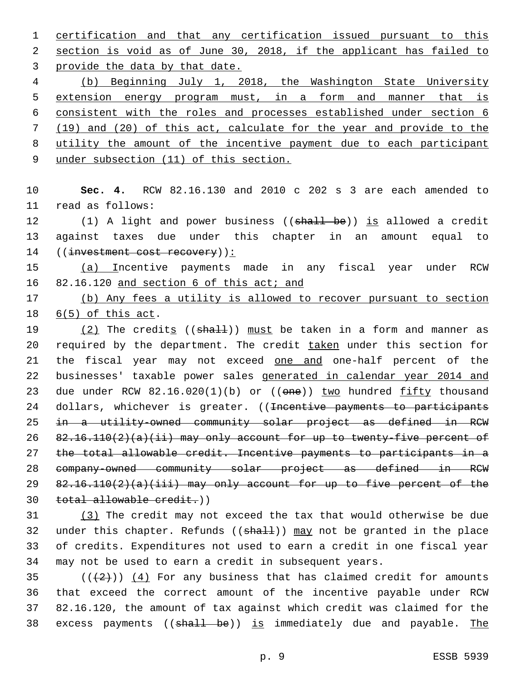1 certification and that any certification issued pursuant to this 2 section is void as of June 30, 2018, if the applicant has failed to 3 provide the data by that date.

 (b) Beginning July 1, 2018, the Washington State University 5 extension energy program must, in a form and manner that is consistent with the roles and processes established under section 6 (19) and (20) of this act, calculate for the year and provide to the utility the amount of the incentive payment due to each participant

9 under subsection (11) of this section.

10 **Sec. 4.** RCW 82.16.130 and 2010 c 202 s 3 are each amended to 11 read as follows:

12 (1) A light and power business ((shall be)) is allowed a credit 13 against taxes due under this chapter in an amount equal to 14 ((investment cost recovery)):

15 (a) Incentive payments made in any fiscal year under RCW 16 82.16.120 and section 6 of this act; and

17 (b) Any fees a utility is allowed to recover pursuant to section 18  $6(5)$  of this act.

 $(2)$  The credits (( $shall$ )) must be taken in a form and manner as 20 required by the department. The credit taken under this section for 21 the fiscal year may not exceed one and one-half percent of the businesses' taxable power sales generated in calendar year 2014 and 23 due under RCW 82.16.020(1)(b) or ((one)) two hundred fifty thousand 24 dollars, whichever is greater. ((<del>Incentive payments to participants</del> in a utility-owned community solar project as defined in RCW 82.16.110(2)(a)(ii) may only account for up to twenty-five percent of the total allowable credit. Incentive payments to participants in a company-owned community solar project as defined in RCW  $82.16.110(2)(a)(iii)$  may only account for up to five percent of the total allowable credit.))

 (3) The credit may not exceed the tax that would otherwise be due 32 under this chapter. Refunds  $((shall))$  may not be granted in the place of credits. Expenditures not used to earn a credit in one fiscal year may not be used to earn a credit in subsequent years.

 $((+2+))$   $(4)$  For any business that has claimed credit for amounts that exceed the correct amount of the incentive payable under RCW 82.16.120, the amount of tax against which credit was claimed for the 38 excess payments ((shall be)) is immediately due and payable. The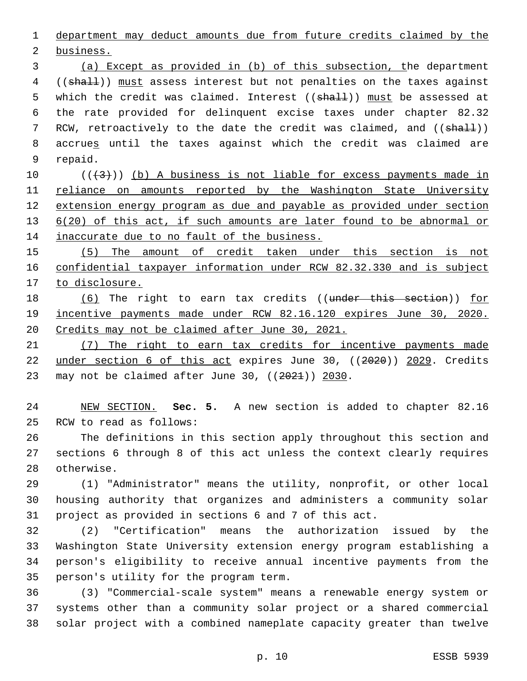department may deduct amounts due from future credits claimed by the

2 business.

 (a) Except as provided in (b) of this subsection, the department 4 ((shall)) must assess interest but not penalties on the taxes against 5 which the credit was claimed. Interest ((shall)) must be assessed at the rate provided for delinquent excise taxes under chapter 82.32 7 RCW, retroactively to the date the credit was claimed, and ((shall)) accrues until the taxes against which the credit was claimed are 9 repaid.

 ( $(\frac{43}{})$ ) (b) A business is not liable for excess payments made in 11 reliance on amounts reported by the Washington State University extension energy program as due and payable as provided under section 13 6(20) of this act, if such amounts are later found to be abnormal or 14 inaccurate due to no fault of the business.

 (5) The amount of credit taken under this section is not confidential taxpayer information under RCW 82.32.330 and is subject to disclosure.

18 (6) The right to earn tax credits ((under this section)) for incentive payments made under RCW 82.16.120 expires June 30, 2020. Credits may not be claimed after June 30, 2021.

 (7) The right to earn tax credits for incentive payments made under section 6 of this act expires June 30, ((2020)) 2029. Credits 23 may not be claimed after June 30,  $((2021))$  2030.

 NEW SECTION. **Sec. 5.** A new section is added to chapter 82.16 25 RCW to read as follows:

 The definitions in this section apply throughout this section and sections 6 through 8 of this act unless the context clearly requires 28 otherwise.

 (1) "Administrator" means the utility, nonprofit, or other local housing authority that organizes and administers a community solar project as provided in sections 6 and 7 of this act.

 (2) "Certification" means the authorization issued by the Washington State University extension energy program establishing a person's eligibility to receive annual incentive payments from the 35 person's utility for the program term.

 (3) "Commercial-scale system" means a renewable energy system or systems other than a community solar project or a shared commercial solar project with a combined nameplate capacity greater than twelve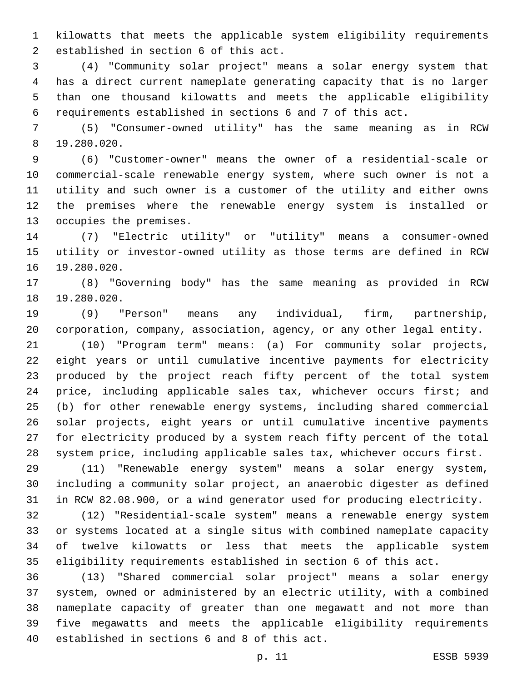kilowatts that meets the applicable system eligibility requirements 2 established in section 6 of this act.

 (4) "Community solar project" means a solar energy system that has a direct current nameplate generating capacity that is no larger than one thousand kilowatts and meets the applicable eligibility requirements established in sections 6 and 7 of this act.

 (5) "Consumer-owned utility" has the same meaning as in RCW 19.280.020.8

 (6) "Customer-owner" means the owner of a residential-scale or commercial-scale renewable energy system, where such owner is not a utility and such owner is a customer of the utility and either owns the premises where the renewable energy system is installed or 13 occupies the premises.

 (7) "Electric utility" or "utility" means a consumer-owned utility or investor-owned utility as those terms are defined in RCW 16 19.280.020.

 (8) "Governing body" has the same meaning as provided in RCW 18 19.280.020.

 (9) "Person" means any individual, firm, partnership, corporation, company, association, agency, or any other legal entity.

 (10) "Program term" means: (a) For community solar projects, eight years or until cumulative incentive payments for electricity produced by the project reach fifty percent of the total system price, including applicable sales tax, whichever occurs first; and (b) for other renewable energy systems, including shared commercial solar projects, eight years or until cumulative incentive payments for electricity produced by a system reach fifty percent of the total system price, including applicable sales tax, whichever occurs first.

 (11) "Renewable energy system" means a solar energy system, including a community solar project, an anaerobic digester as defined in RCW 82.08.900, or a wind generator used for producing electricity.

 (12) "Residential-scale system" means a renewable energy system or systems located at a single situs with combined nameplate capacity of twelve kilowatts or less that meets the applicable system eligibility requirements established in section 6 of this act.

 (13) "Shared commercial solar project" means a solar energy system, owned or administered by an electric utility, with a combined nameplate capacity of greater than one megawatt and not more than five megawatts and meets the applicable eligibility requirements 40 established in sections 6 and 8 of this act.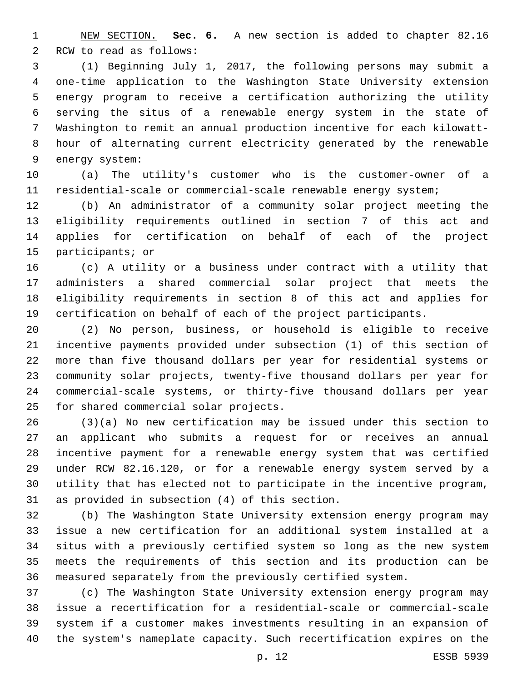NEW SECTION. **Sec. 6.** A new section is added to chapter 82.16 2 RCW to read as follows:

 (1) Beginning July 1, 2017, the following persons may submit a one-time application to the Washington State University extension energy program to receive a certification authorizing the utility serving the situs of a renewable energy system in the state of Washington to remit an annual production incentive for each kilowatt- hour of alternating current electricity generated by the renewable 9 energy system:

 (a) The utility's customer who is the customer-owner of a residential-scale or commercial-scale renewable energy system;

 (b) An administrator of a community solar project meeting the eligibility requirements outlined in section 7 of this act and applies for certification on behalf of each of the project 15 participants; or

 (c) A utility or a business under contract with a utility that administers a shared commercial solar project that meets the eligibility requirements in section 8 of this act and applies for certification on behalf of each of the project participants.

 (2) No person, business, or household is eligible to receive incentive payments provided under subsection (1) of this section of more than five thousand dollars per year for residential systems or community solar projects, twenty-five thousand dollars per year for commercial-scale systems, or thirty-five thousand dollars per year 25 for shared commercial solar projects.

 (3)(a) No new certification may be issued under this section to an applicant who submits a request for or receives an annual incentive payment for a renewable energy system that was certified under RCW 82.16.120, or for a renewable energy system served by a utility that has elected not to participate in the incentive program, 31 as provided in subsection (4) of this section.

 (b) The Washington State University extension energy program may issue a new certification for an additional system installed at a situs with a previously certified system so long as the new system meets the requirements of this section and its production can be measured separately from the previously certified system.

 (c) The Washington State University extension energy program may issue a recertification for a residential-scale or commercial-scale system if a customer makes investments resulting in an expansion of the system's nameplate capacity. Such recertification expires on the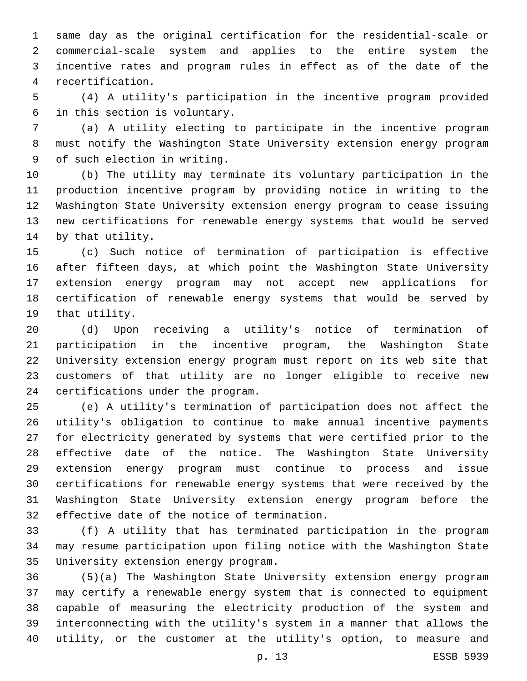same day as the original certification for the residential-scale or commercial-scale system and applies to the entire system the incentive rates and program rules in effect as of the date of the recertification.4

 (4) A utility's participation in the incentive program provided 6 in this section is voluntary.

 (a) A utility electing to participate in the incentive program must notify the Washington State University extension energy program 9 of such election in writing.

 (b) The utility may terminate its voluntary participation in the production incentive program by providing notice in writing to the Washington State University extension energy program to cease issuing new certifications for renewable energy systems that would be served 14 by that utility.

 (c) Such notice of termination of participation is effective after fifteen days, at which point the Washington State University extension energy program may not accept new applications for certification of renewable energy systems that would be served by 19 that utility.

 (d) Upon receiving a utility's notice of termination of participation in the incentive program, the Washington State University extension energy program must report on its web site that customers of that utility are no longer eligible to receive new 24 certifications under the program.

 (e) A utility's termination of participation does not affect the utility's obligation to continue to make annual incentive payments for electricity generated by systems that were certified prior to the effective date of the notice. The Washington State University extension energy program must continue to process and issue certifications for renewable energy systems that were received by the Washington State University extension energy program before the 32 effective date of the notice of termination.

 (f) A utility that has terminated participation in the program may resume participation upon filing notice with the Washington State 35 University extension energy program.

 (5)(a) The Washington State University extension energy program may certify a renewable energy system that is connected to equipment capable of measuring the electricity production of the system and interconnecting with the utility's system in a manner that allows the utility, or the customer at the utility's option, to measure and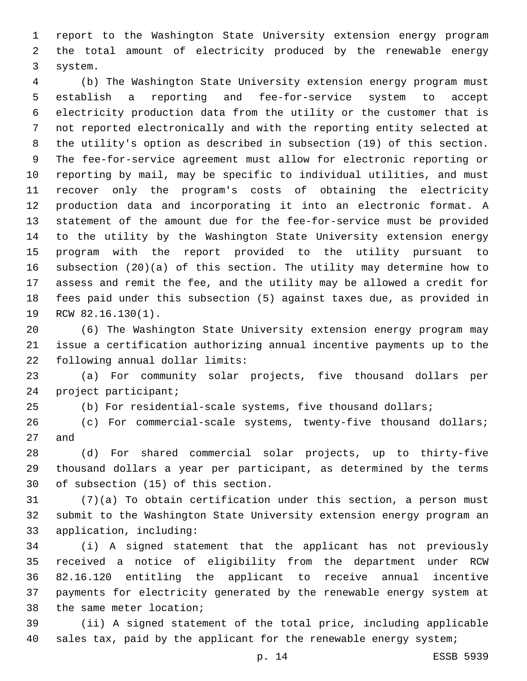report to the Washington State University extension energy program the total amount of electricity produced by the renewable energy 3 system.

 (b) The Washington State University extension energy program must establish a reporting and fee-for-service system to accept electricity production data from the utility or the customer that is not reported electronically and with the reporting entity selected at the utility's option as described in subsection (19) of this section. The fee-for-service agreement must allow for electronic reporting or reporting by mail, may be specific to individual utilities, and must recover only the program's costs of obtaining the electricity production data and incorporating it into an electronic format. A statement of the amount due for the fee-for-service must be provided to the utility by the Washington State University extension energy program with the report provided to the utility pursuant to subsection (20)(a) of this section. The utility may determine how to assess and remit the fee, and the utility may be allowed a credit for fees paid under this subsection (5) against taxes due, as provided in 19 RCW 82.16.130(1).

 (6) The Washington State University extension energy program may issue a certification authorizing annual incentive payments up to the 22 following annual dollar limits:

 (a) For community solar projects, five thousand dollars per 24 project participant;

(b) For residential-scale systems, five thousand dollars;

 (c) For commercial-scale systems, twenty-five thousand dollars; 27 and

 (d) For shared commercial solar projects, up to thirty-five thousand dollars a year per participant, as determined by the terms 30 of subsection (15) of this section.

 (7)(a) To obtain certification under this section, a person must submit to the Washington State University extension energy program an 33 application, including:

 (i) A signed statement that the applicant has not previously received a notice of eligibility from the department under RCW 82.16.120 entitling the applicant to receive annual incentive payments for electricity generated by the renewable energy system at 38 the same meter location;

 (ii) A signed statement of the total price, including applicable 40 sales tax, paid by the applicant for the renewable energy system;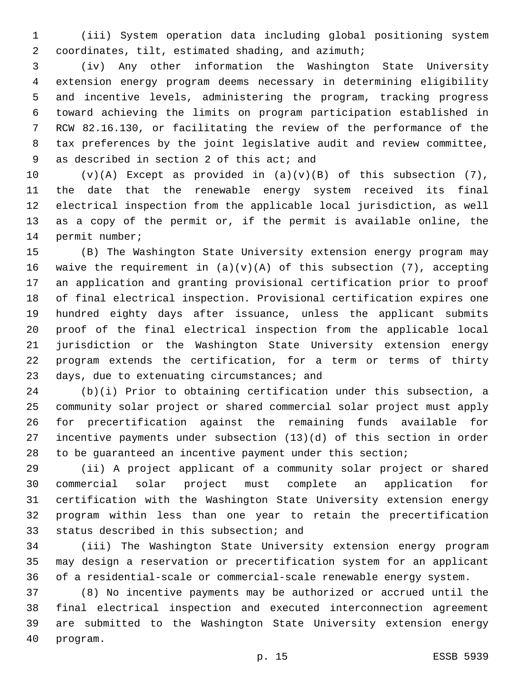(iii) System operation data including global positioning system coordinates, tilt, estimated shading, and azimuth;2

 (iv) Any other information the Washington State University extension energy program deems necessary in determining eligibility and incentive levels, administering the program, tracking progress toward achieving the limits on program participation established in RCW 82.16.130, or facilitating the review of the performance of the tax preferences by the joint legislative audit and review committee, 9 as described in section 2 of this act; and

 $(v)(A)$  Except as provided in  $(a)(v)(B)$  of this subsection (7), the date that the renewable energy system received its final electrical inspection from the applicable local jurisdiction, as well as a copy of the permit or, if the permit is available online, the 14 permit number;

 (B) The Washington State University extension energy program may 16 waive the requirement in  $(a)(v)(A)$  of this subsection (7), accepting an application and granting provisional certification prior to proof of final electrical inspection. Provisional certification expires one hundred eighty days after issuance, unless the applicant submits proof of the final electrical inspection from the applicable local jurisdiction or the Washington State University extension energy program extends the certification, for a term or terms of thirty 23 days, due to extenuating circumstances; and

 (b)(i) Prior to obtaining certification under this subsection, a community solar project or shared commercial solar project must apply for precertification against the remaining funds available for incentive payments under subsection (13)(d) of this section in order to be guaranteed an incentive payment under this section;

 (ii) A project applicant of a community solar project or shared commercial solar project must complete an application for certification with the Washington State University extension energy program within less than one year to retain the precertification 33 status described in this subsection; and

 (iii) The Washington State University extension energy program may design a reservation or precertification system for an applicant of a residential-scale or commercial-scale renewable energy system.

 (8) No incentive payments may be authorized or accrued until the final electrical inspection and executed interconnection agreement are submitted to the Washington State University extension energy 40 program.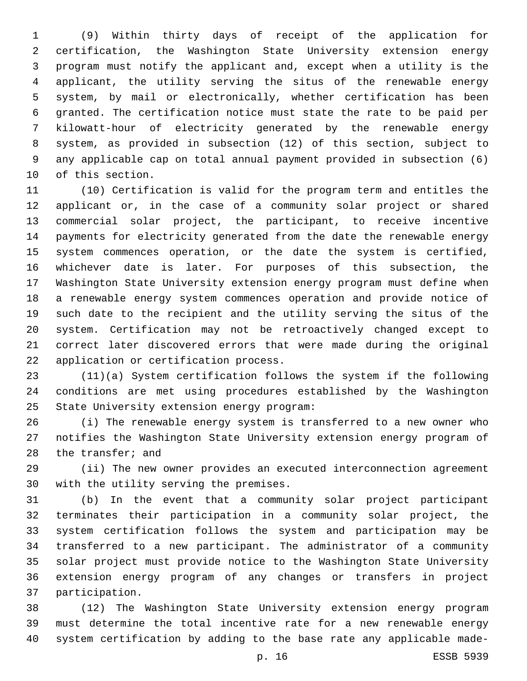(9) Within thirty days of receipt of the application for certification, the Washington State University extension energy program must notify the applicant and, except when a utility is the applicant, the utility serving the situs of the renewable energy system, by mail or electronically, whether certification has been granted. The certification notice must state the rate to be paid per kilowatt-hour of electricity generated by the renewable energy system, as provided in subsection (12) of this section, subject to any applicable cap on total annual payment provided in subsection (6) 10 of this section.

 (10) Certification is valid for the program term and entitles the applicant or, in the case of a community solar project or shared commercial solar project, the participant, to receive incentive payments for electricity generated from the date the renewable energy system commences operation, or the date the system is certified, whichever date is later. For purposes of this subsection, the Washington State University extension energy program must define when a renewable energy system commences operation and provide notice of such date to the recipient and the utility serving the situs of the system. Certification may not be retroactively changed except to correct later discovered errors that were made during the original 22 application or certification process.

 (11)(a) System certification follows the system if the following conditions are met using procedures established by the Washington 25 State University extension energy program:

 (i) The renewable energy system is transferred to a new owner who notifies the Washington State University extension energy program of 28 the transfer; and

 (ii) The new owner provides an executed interconnection agreement 30 with the utility serving the premises.

 (b) In the event that a community solar project participant terminates their participation in a community solar project, the system certification follows the system and participation may be transferred to a new participant. The administrator of a community solar project must provide notice to the Washington State University extension energy program of any changes or transfers in project 37 participation.

 (12) The Washington State University extension energy program must determine the total incentive rate for a new renewable energy system certification by adding to the base rate any applicable made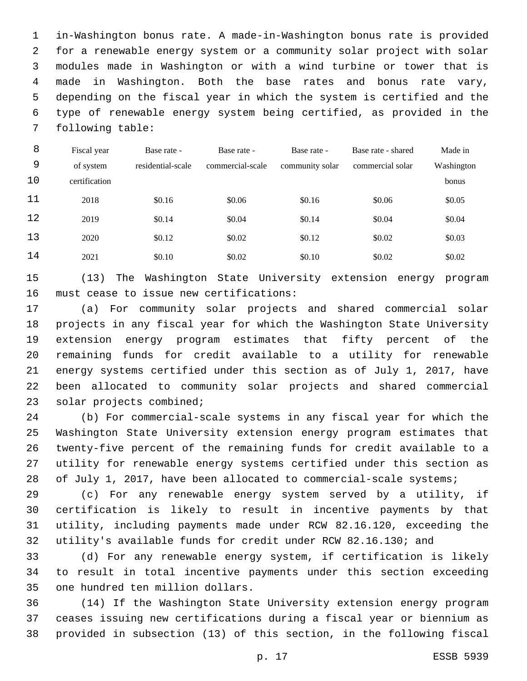in-Washington bonus rate. A made-in-Washington bonus rate is provided for a renewable energy system or a community solar project with solar modules made in Washington or with a wind turbine or tower that is made in Washington. Both the base rates and bonus rate vary, depending on the fiscal year in which the system is certified and the type of renewable energy system being certified, as provided in the 7 following table:

| 8  | Fiscal year   | Base rate -       | Base rate -      | Base rate -     | Base rate - shared | Made in    |
|----|---------------|-------------------|------------------|-----------------|--------------------|------------|
| 9  | of system     | residential-scale | commercial-scale | community solar | commercial solar   | Washington |
| 10 | certification |                   |                  |                 |                    | bonus      |
| 11 | 2018          | \$0.16            | \$0.06           | \$0.16          | \$0.06             | \$0.05     |
| 12 | 2019          | \$0.14            | \$0.04           | \$0.14          | \$0.04             | \$0.04     |
| 13 | 2020          | \$0.12            | \$0.02           | \$0.12          | \$0.02             | \$0.03     |
| 14 | 2021          | \$0.10            | \$0.02           | \$0.10          | \$0.02             | \$0.02     |

 (13) The Washington State University extension energy program 16 must cease to issue new certifications:

 (a) For community solar projects and shared commercial solar projects in any fiscal year for which the Washington State University extension energy program estimates that fifty percent of the remaining funds for credit available to a utility for renewable energy systems certified under this section as of July 1, 2017, have been allocated to community solar projects and shared commercial 23 solar projects combined;

 (b) For commercial-scale systems in any fiscal year for which the Washington State University extension energy program estimates that twenty-five percent of the remaining funds for credit available to a utility for renewable energy systems certified under this section as 28 of July 1, 2017, have been allocated to commercial-scale systems;

 (c) For any renewable energy system served by a utility, if certification is likely to result in incentive payments by that utility, including payments made under RCW 82.16.120, exceeding the utility's available funds for credit under RCW 82.16.130; and

 (d) For any renewable energy system, if certification is likely to result in total incentive payments under this section exceeding 35 one hundred ten million dollars.

 (14) If the Washington State University extension energy program ceases issuing new certifications during a fiscal year or biennium as provided in subsection (13) of this section, in the following fiscal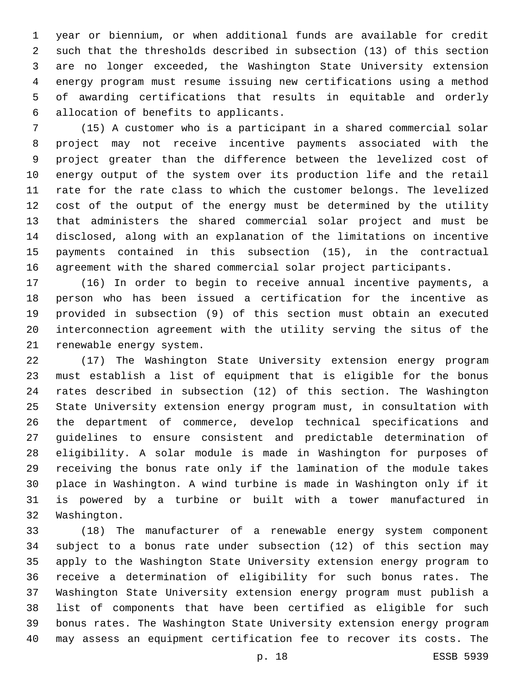year or biennium, or when additional funds are available for credit such that the thresholds described in subsection (13) of this section are no longer exceeded, the Washington State University extension energy program must resume issuing new certifications using a method of awarding certifications that results in equitable and orderly allocation of benefits to applicants.6

 (15) A customer who is a participant in a shared commercial solar project may not receive incentive payments associated with the project greater than the difference between the levelized cost of energy output of the system over its production life and the retail rate for the rate class to which the customer belongs. The levelized cost of the output of the energy must be determined by the utility that administers the shared commercial solar project and must be disclosed, along with an explanation of the limitations on incentive payments contained in this subsection (15), in the contractual agreement with the shared commercial solar project participants.

 (16) In order to begin to receive annual incentive payments, a person who has been issued a certification for the incentive as provided in subsection (9) of this section must obtain an executed interconnection agreement with the utility serving the situs of the 21 renewable energy system.

 (17) The Washington State University extension energy program must establish a list of equipment that is eligible for the bonus rates described in subsection (12) of this section. The Washington State University extension energy program must, in consultation with the department of commerce, develop technical specifications and guidelines to ensure consistent and predictable determination of eligibility. A solar module is made in Washington for purposes of receiving the bonus rate only if the lamination of the module takes place in Washington. A wind turbine is made in Washington only if it is powered by a turbine or built with a tower manufactured in 32 Washington.

 (18) The manufacturer of a renewable energy system component subject to a bonus rate under subsection (12) of this section may apply to the Washington State University extension energy program to receive a determination of eligibility for such bonus rates. The Washington State University extension energy program must publish a list of components that have been certified as eligible for such bonus rates. The Washington State University extension energy program may assess an equipment certification fee to recover its costs. The

p. 18 ESSB 5939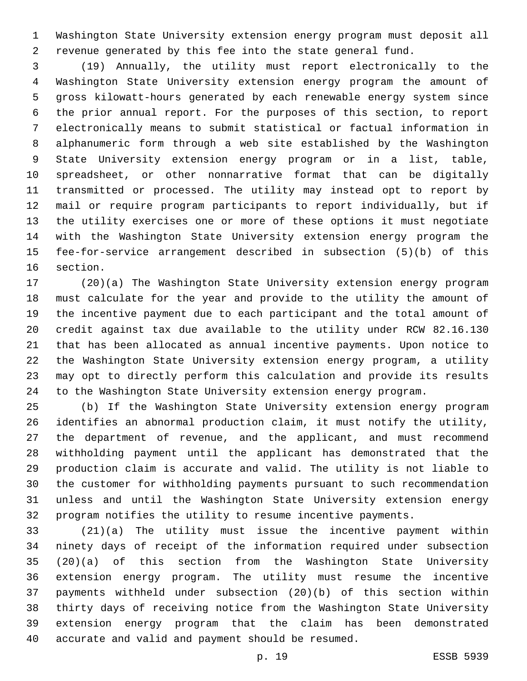Washington State University extension energy program must deposit all revenue generated by this fee into the state general fund.

 (19) Annually, the utility must report electronically to the Washington State University extension energy program the amount of gross kilowatt-hours generated by each renewable energy system since the prior annual report. For the purposes of this section, to report electronically means to submit statistical or factual information in alphanumeric form through a web site established by the Washington State University extension energy program or in a list, table, spreadsheet, or other nonnarrative format that can be digitally transmitted or processed. The utility may instead opt to report by mail or require program participants to report individually, but if the utility exercises one or more of these options it must negotiate with the Washington State University extension energy program the fee-for-service arrangement described in subsection (5)(b) of this 16 section.

 (20)(a) The Washington State University extension energy program must calculate for the year and provide to the utility the amount of the incentive payment due to each participant and the total amount of credit against tax due available to the utility under RCW 82.16.130 that has been allocated as annual incentive payments. Upon notice to the Washington State University extension energy program, a utility may opt to directly perform this calculation and provide its results to the Washington State University extension energy program.

 (b) If the Washington State University extension energy program identifies an abnormal production claim, it must notify the utility, the department of revenue, and the applicant, and must recommend withholding payment until the applicant has demonstrated that the production claim is accurate and valid. The utility is not liable to the customer for withholding payments pursuant to such recommendation unless and until the Washington State University extension energy program notifies the utility to resume incentive payments.

 (21)(a) The utility must issue the incentive payment within ninety days of receipt of the information required under subsection (20)(a) of this section from the Washington State University extension energy program. The utility must resume the incentive payments withheld under subsection (20)(b) of this section within thirty days of receiving notice from the Washington State University extension energy program that the claim has been demonstrated 40 accurate and valid and payment should be resumed.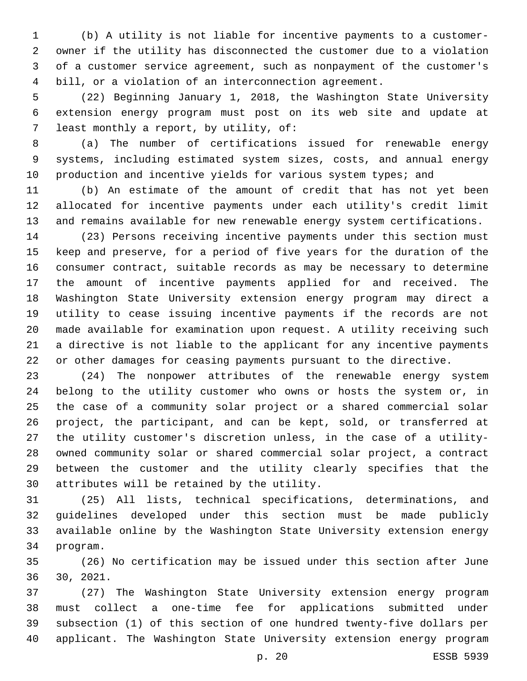(b) A utility is not liable for incentive payments to a customer- owner if the utility has disconnected the customer due to a violation of a customer service agreement, such as nonpayment of the customer's bill, or a violation of an interconnection agreement.

 (22) Beginning January 1, 2018, the Washington State University extension energy program must post on its web site and update at 7 least monthly a report, by utility, of:

 (a) The number of certifications issued for renewable energy systems, including estimated system sizes, costs, and annual energy 10 production and incentive yields for various system types; and

 (b) An estimate of the amount of credit that has not yet been allocated for incentive payments under each utility's credit limit and remains available for new renewable energy system certifications.

 (23) Persons receiving incentive payments under this section must keep and preserve, for a period of five years for the duration of the consumer contract, suitable records as may be necessary to determine the amount of incentive payments applied for and received. The Washington State University extension energy program may direct a utility to cease issuing incentive payments if the records are not made available for examination upon request. A utility receiving such a directive is not liable to the applicant for any incentive payments or other damages for ceasing payments pursuant to the directive.

 (24) The nonpower attributes of the renewable energy system belong to the utility customer who owns or hosts the system or, in the case of a community solar project or a shared commercial solar project, the participant, and can be kept, sold, or transferred at the utility customer's discretion unless, in the case of a utility- owned community solar or shared commercial solar project, a contract between the customer and the utility clearly specifies that the 30 attributes will be retained by the utility.

 (25) All lists, technical specifications, determinations, and guidelines developed under this section must be made publicly available online by the Washington State University extension energy 34 program.

 (26) No certification may be issued under this section after June 30, 2021.

 (27) The Washington State University extension energy program must collect a one-time fee for applications submitted under subsection (1) of this section of one hundred twenty-five dollars per applicant. The Washington State University extension energy program

p. 20 ESSB 5939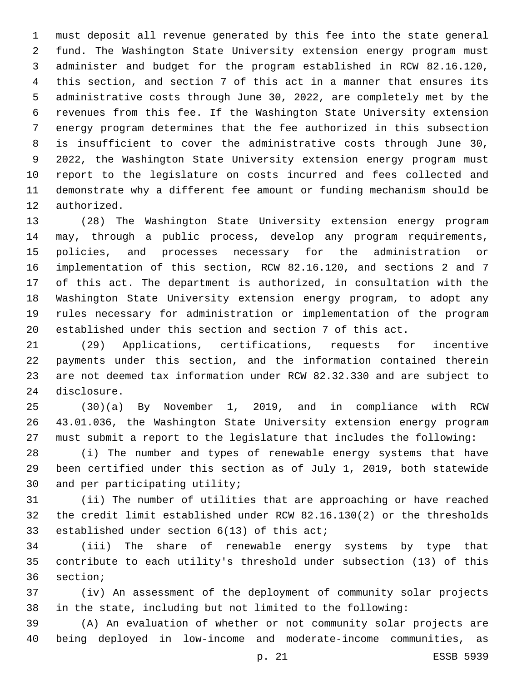must deposit all revenue generated by this fee into the state general fund. The Washington State University extension energy program must administer and budget for the program established in RCW 82.16.120, this section, and section 7 of this act in a manner that ensures its administrative costs through June 30, 2022, are completely met by the revenues from this fee. If the Washington State University extension energy program determines that the fee authorized in this subsection is insufficient to cover the administrative costs through June 30, 2022, the Washington State University extension energy program must report to the legislature on costs incurred and fees collected and demonstrate why a different fee amount or funding mechanism should be 12 authorized.

 (28) The Washington State University extension energy program may, through a public process, develop any program requirements, policies, and processes necessary for the administration or implementation of this section, RCW 82.16.120, and sections 2 and 7 of this act. The department is authorized, in consultation with the Washington State University extension energy program, to adopt any rules necessary for administration or implementation of the program established under this section and section 7 of this act.

 (29) Applications, certifications, requests for incentive payments under this section, and the information contained therein are not deemed tax information under RCW 82.32.330 and are subject to 24 disclosure.

 (30)(a) By November 1, 2019, and in compliance with RCW 43.01.036, the Washington State University extension energy program must submit a report to the legislature that includes the following:

 (i) The number and types of renewable energy systems that have been certified under this section as of July 1, 2019, both statewide 30 and per participating utility;

 (ii) The number of utilities that are approaching or have reached the credit limit established under RCW 82.16.130(2) or the thresholds 33 established under section 6(13) of this act;

 (iii) The share of renewable energy systems by type that contribute to each utility's threshold under subsection (13) of this 36 section;

 (iv) An assessment of the deployment of community solar projects in the state, including but not limited to the following:

 (A) An evaluation of whether or not community solar projects are being deployed in low-income and moderate-income communities, as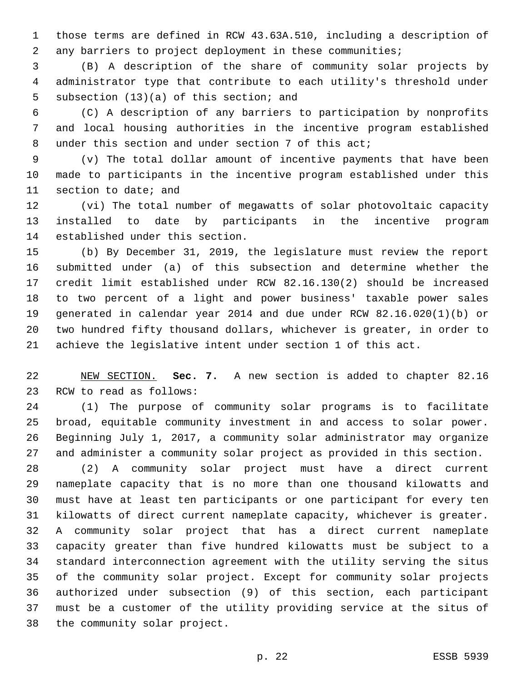those terms are defined in RCW 43.63A.510, including a description of any barriers to project deployment in these communities;

 (B) A description of the share of community solar projects by administrator type that contribute to each utility's threshold under 5 subsection (13)(a) of this section; and

 (C) A description of any barriers to participation by nonprofits and local housing authorities in the incentive program established under this section and under section 7 of this act;

 (v) The total dollar amount of incentive payments that have been made to participants in the incentive program established under this 11 section to date; and

 (vi) The total number of megawatts of solar photovoltaic capacity installed to date by participants in the incentive program 14 established under this section.

 (b) By December 31, 2019, the legislature must review the report submitted under (a) of this subsection and determine whether the credit limit established under RCW 82.16.130(2) should be increased to two percent of a light and power business' taxable power sales generated in calendar year 2014 and due under RCW 82.16.020(1)(b) or two hundred fifty thousand dollars, whichever is greater, in order to achieve the legislative intent under section 1 of this act.

 NEW SECTION. **Sec. 7.** A new section is added to chapter 82.16 23 RCW to read as follows:

 (1) The purpose of community solar programs is to facilitate broad, equitable community investment in and access to solar power. Beginning July 1, 2017, a community solar administrator may organize and administer a community solar project as provided in this section.

 (2) A community solar project must have a direct current nameplate capacity that is no more than one thousand kilowatts and must have at least ten participants or one participant for every ten kilowatts of direct current nameplate capacity, whichever is greater. A community solar project that has a direct current nameplate capacity greater than five hundred kilowatts must be subject to a standard interconnection agreement with the utility serving the situs of the community solar project. Except for community solar projects authorized under subsection (9) of this section, each participant must be a customer of the utility providing service at the situs of 38 the community solar project.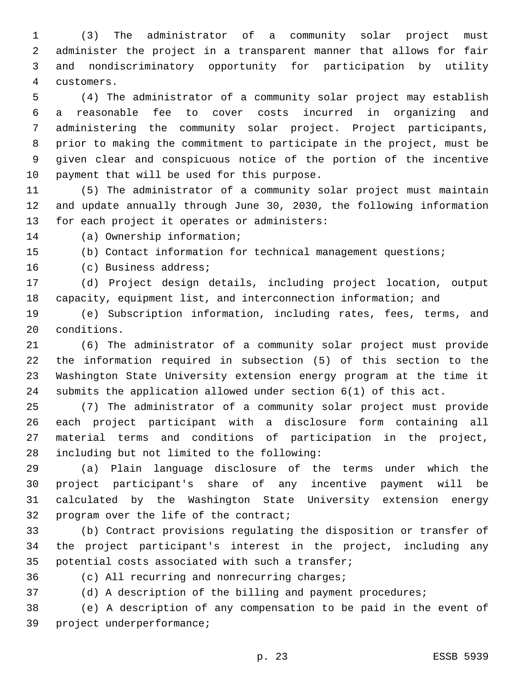(3) The administrator of a community solar project must administer the project in a transparent manner that allows for fair and nondiscriminatory opportunity for participation by utility customers.4

 (4) The administrator of a community solar project may establish a reasonable fee to cover costs incurred in organizing and administering the community solar project. Project participants, prior to making the commitment to participate in the project, must be given clear and conspicuous notice of the portion of the incentive 10 payment that will be used for this purpose.

 (5) The administrator of a community solar project must maintain and update annually through June 30, 2030, the following information 13 for each project it operates or administers:

14 (a) Ownership information;

(b) Contact information for technical management questions;

16 (c) Business address;

 (d) Project design details, including project location, output capacity, equipment list, and interconnection information; and

 (e) Subscription information, including rates, fees, terms, and 20 conditions.

 (6) The administrator of a community solar project must provide the information required in subsection (5) of this section to the Washington State University extension energy program at the time it submits the application allowed under section 6(1) of this act.

 (7) The administrator of a community solar project must provide each project participant with a disclosure form containing all material terms and conditions of participation in the project, 28 including but not limited to the following:

 (a) Plain language disclosure of the terms under which the project participant's share of any incentive payment will be calculated by the Washington State University extension energy 32 program over the life of the contract;

 (b) Contract provisions regulating the disposition or transfer of the project participant's interest in the project, including any 35 potential costs associated with such a transfer;

36 (c) All recurring and nonrecurring charges;

(d) A description of the billing and payment procedures;

 (e) A description of any compensation to be paid in the event of 39 project underperformance;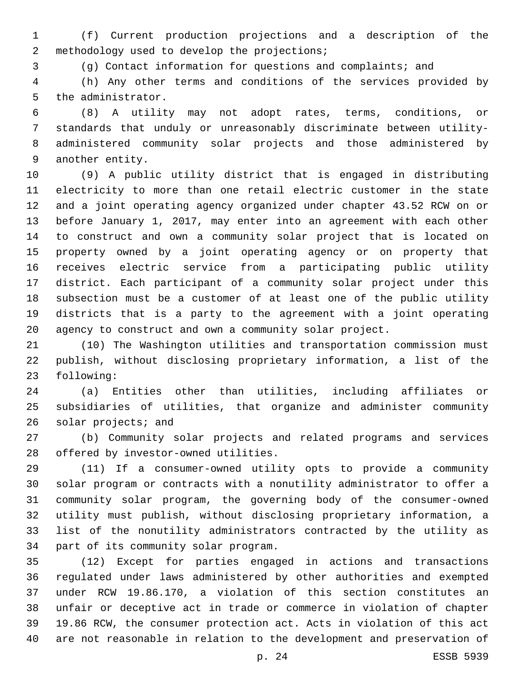(f) Current production projections and a description of the 2 methodology used to develop the projections;

(g) Contact information for questions and complaints; and

 (h) Any other terms and conditions of the services provided by 5 the administrator.

 (8) A utility may not adopt rates, terms, conditions, or standards that unduly or unreasonably discriminate between utility- administered community solar projects and those administered by 9 another entity.

 (9) A public utility district that is engaged in distributing electricity to more than one retail electric customer in the state and a joint operating agency organized under chapter 43.52 RCW on or before January 1, 2017, may enter into an agreement with each other to construct and own a community solar project that is located on property owned by a joint operating agency or on property that receives electric service from a participating public utility district. Each participant of a community solar project under this subsection must be a customer of at least one of the public utility districts that is a party to the agreement with a joint operating agency to construct and own a community solar project.

 (10) The Washington utilities and transportation commission must publish, without disclosing proprietary information, a list of the 23 following:

 (a) Entities other than utilities, including affiliates or subsidiaries of utilities, that organize and administer community 26 solar projects; and

 (b) Community solar projects and related programs and services 28 offered by investor-owned utilities.

 (11) If a consumer-owned utility opts to provide a community solar program or contracts with a nonutility administrator to offer a community solar program, the governing body of the consumer-owned utility must publish, without disclosing proprietary information, a list of the nonutility administrators contracted by the utility as 34 part of its community solar program.

 (12) Except for parties engaged in actions and transactions regulated under laws administered by other authorities and exempted under RCW 19.86.170, a violation of this section constitutes an unfair or deceptive act in trade or commerce in violation of chapter 19.86 RCW, the consumer protection act. Acts in violation of this act are not reasonable in relation to the development and preservation of

p. 24 ESSB 5939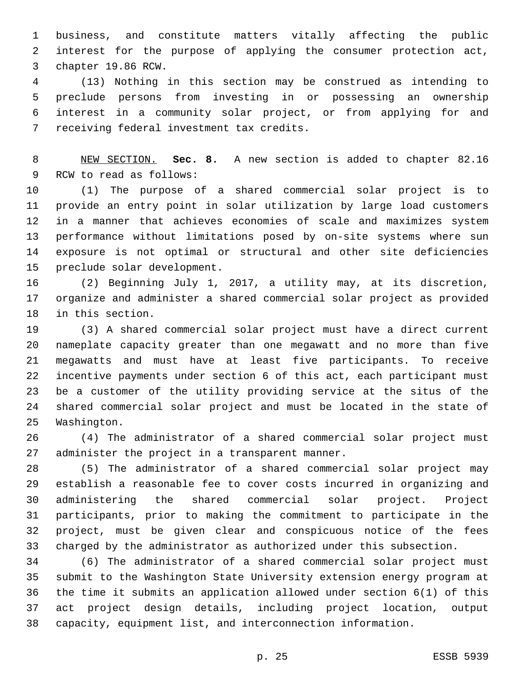business, and constitute matters vitally affecting the public interest for the purpose of applying the consumer protection act, 3 chapter 19.86 RCW.

 (13) Nothing in this section may be construed as intending to preclude persons from investing in or possessing an ownership interest in a community solar project, or from applying for and 7 receiving federal investment tax credits.

 NEW SECTION. **Sec. 8.** A new section is added to chapter 82.16 9 RCW to read as follows:

 (1) The purpose of a shared commercial solar project is to provide an entry point in solar utilization by large load customers in a manner that achieves economies of scale and maximizes system performance without limitations posed by on-site systems where sun exposure is not optimal or structural and other site deficiencies 15 preclude solar development.

 (2) Beginning July 1, 2017, a utility may, at its discretion, organize and administer a shared commercial solar project as provided 18 in this section.

 (3) A shared commercial solar project must have a direct current nameplate capacity greater than one megawatt and no more than five megawatts and must have at least five participants. To receive incentive payments under section 6 of this act, each participant must be a customer of the utility providing service at the situs of the shared commercial solar project and must be located in the state of 25 Washington.

 (4) The administrator of a shared commercial solar project must 27 administer the project in a transparent manner.

 (5) The administrator of a shared commercial solar project may establish a reasonable fee to cover costs incurred in organizing and administering the shared commercial solar project. Project participants, prior to making the commitment to participate in the project, must be given clear and conspicuous notice of the fees charged by the administrator as authorized under this subsection.

 (6) The administrator of a shared commercial solar project must submit to the Washington State University extension energy program at the time it submits an application allowed under section 6(1) of this act project design details, including project location, output capacity, equipment list, and interconnection information.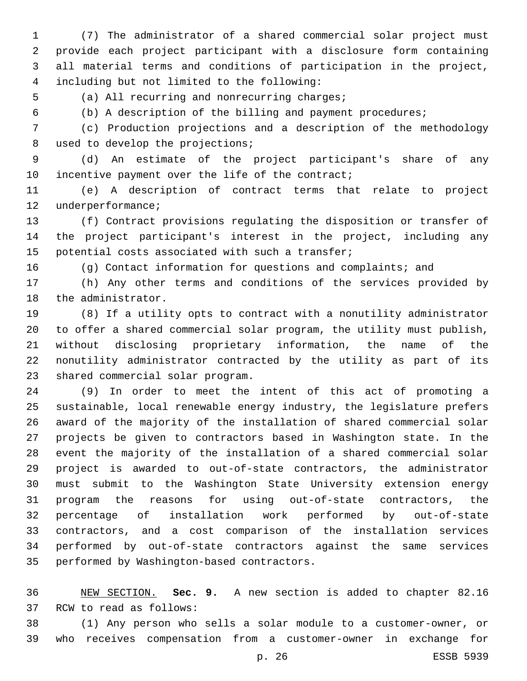(7) The administrator of a shared commercial solar project must provide each project participant with a disclosure form containing all material terms and conditions of participation in the project, including but not limited to the following:4

5 (a) All recurring and nonrecurring charges;

(b) A description of the billing and payment procedures;

 (c) Production projections and a description of the methodology 8 used to develop the projections;

 (d) An estimate of the project participant's share of any 10 incentive payment over the life of the contract;

 (e) A description of contract terms that relate to project 12 underperformance;

 (f) Contract provisions regulating the disposition or transfer of the project participant's interest in the project, including any 15 potential costs associated with such a transfer;

(g) Contact information for questions and complaints; and

 (h) Any other terms and conditions of the services provided by 18 the administrator.

 (8) If a utility opts to contract with a nonutility administrator to offer a shared commercial solar program, the utility must publish, without disclosing proprietary information, the name of the nonutility administrator contracted by the utility as part of its 23 shared commercial solar program.

 (9) In order to meet the intent of this act of promoting a sustainable, local renewable energy industry, the legislature prefers award of the majority of the installation of shared commercial solar projects be given to contractors based in Washington state. In the event the majority of the installation of a shared commercial solar project is awarded to out-of-state contractors, the administrator must submit to the Washington State University extension energy program the reasons for using out-of-state contractors, the percentage of installation work performed by out-of-state contractors, and a cost comparison of the installation services performed by out-of-state contractors against the same services 35 performed by Washington-based contractors.

 NEW SECTION. **Sec. 9.** A new section is added to chapter 82.16 37 RCW to read as follows:

 (1) Any person who sells a solar module to a customer-owner, or who receives compensation from a customer-owner in exchange for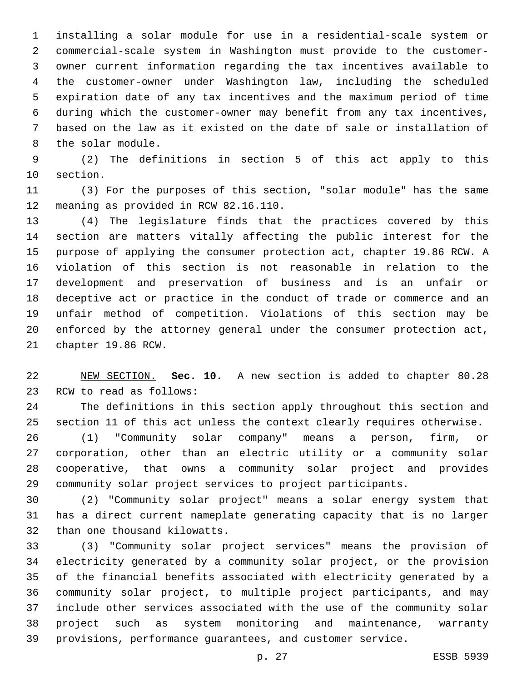installing a solar module for use in a residential-scale system or commercial-scale system in Washington must provide to the customer- owner current information regarding the tax incentives available to the customer-owner under Washington law, including the scheduled expiration date of any tax incentives and the maximum period of time during which the customer-owner may benefit from any tax incentives, based on the law as it existed on the date of sale or installation of 8 the solar module.

 (2) The definitions in section 5 of this act apply to this 10 section.

 (3) For the purposes of this section, "solar module" has the same 12 meaning as provided in RCW 82.16.110.

 (4) The legislature finds that the practices covered by this section are matters vitally affecting the public interest for the purpose of applying the consumer protection act, chapter 19.86 RCW. A violation of this section is not reasonable in relation to the development and preservation of business and is an unfair or deceptive act or practice in the conduct of trade or commerce and an unfair method of competition. Violations of this section may be enforced by the attorney general under the consumer protection act, 21 chapter 19.86 RCW.

 NEW SECTION. **Sec. 10.** A new section is added to chapter 80.28 23 RCW to read as follows:

 The definitions in this section apply throughout this section and section 11 of this act unless the context clearly requires otherwise.

 (1) "Community solar company" means a person, firm, or corporation, other than an electric utility or a community solar cooperative, that owns a community solar project and provides community solar project services to project participants.

 (2) "Community solar project" means a solar energy system that has a direct current nameplate generating capacity that is no larger 32 than one thousand kilowatts.

 (3) "Community solar project services" means the provision of electricity generated by a community solar project, or the provision of the financial benefits associated with electricity generated by a community solar project, to multiple project participants, and may include other services associated with the use of the community solar project such as system monitoring and maintenance, warranty provisions, performance guarantees, and customer service.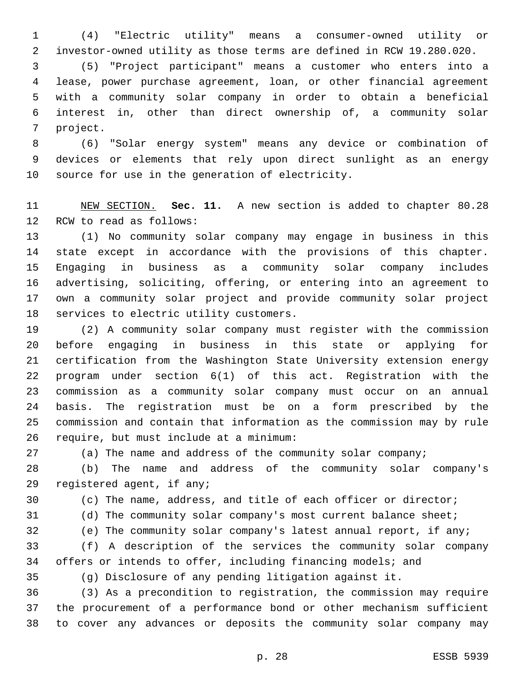(4) "Electric utility" means a consumer-owned utility or investor-owned utility as those terms are defined in RCW 19.280.020.

 (5) "Project participant" means a customer who enters into a lease, power purchase agreement, loan, or other financial agreement with a community solar company in order to obtain a beneficial interest in, other than direct ownership of, a community solar 7 project.

 (6) "Solar energy system" means any device or combination of devices or elements that rely upon direct sunlight as an energy 10 source for use in the generation of electricity.

 NEW SECTION. **Sec. 11.** A new section is added to chapter 80.28 12 RCW to read as follows:

 (1) No community solar company may engage in business in this state except in accordance with the provisions of this chapter. Engaging in business as a community solar company includes advertising, soliciting, offering, or entering into an agreement to own a community solar project and provide community solar project 18 services to electric utility customers.

 (2) A community solar company must register with the commission before engaging in business in this state or applying for certification from the Washington State University extension energy program under section 6(1) of this act. Registration with the commission as a community solar company must occur on an annual basis. The registration must be on a form prescribed by the commission and contain that information as the commission may by rule 26 require, but must include at a minimum:

(a) The name and address of the community solar company;

 (b) The name and address of the community solar company's 29 registered agent, if any;

(c) The name, address, and title of each officer or director;

(d) The community solar company's most current balance sheet;

(e) The community solar company's latest annual report, if any;

 (f) A description of the services the community solar company 34 offers or intends to offer, including financing models; and

(g) Disclosure of any pending litigation against it.

 (3) As a precondition to registration, the commission may require the procurement of a performance bond or other mechanism sufficient to cover any advances or deposits the community solar company may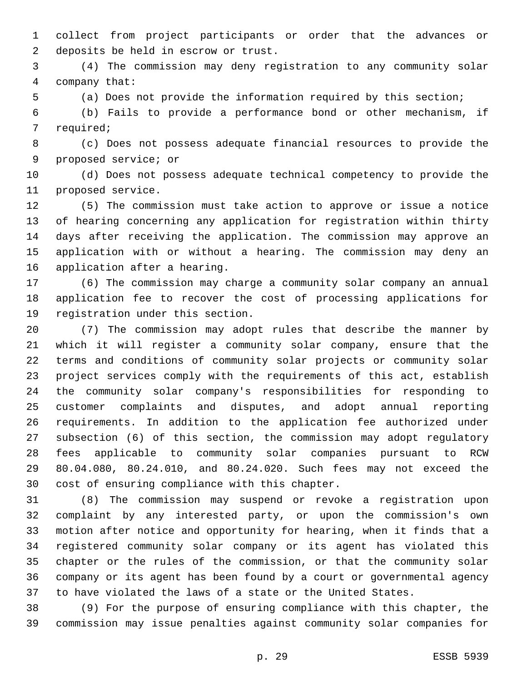collect from project participants or order that the advances or 2 deposits be held in escrow or trust.

 (4) The commission may deny registration to any community solar company that:4

(a) Does not provide the information required by this section;

 (b) Fails to provide a performance bond or other mechanism, if 7 required;

 (c) Does not possess adequate financial resources to provide the 9 proposed service; or

 (d) Does not possess adequate technical competency to provide the 11 proposed service.

 (5) The commission must take action to approve or issue a notice of hearing concerning any application for registration within thirty days after receiving the application. The commission may approve an application with or without a hearing. The commission may deny an 16 application after a hearing.

 (6) The commission may charge a community solar company an annual application fee to recover the cost of processing applications for 19 registration under this section.

 (7) The commission may adopt rules that describe the manner by which it will register a community solar company, ensure that the terms and conditions of community solar projects or community solar project services comply with the requirements of this act, establish the community solar company's responsibilities for responding to customer complaints and disputes, and adopt annual reporting requirements. In addition to the application fee authorized under subsection (6) of this section, the commission may adopt regulatory fees applicable to community solar companies pursuant to RCW 80.04.080, 80.24.010, and 80.24.020. Such fees may not exceed the 30 cost of ensuring compliance with this chapter.

 (8) The commission may suspend or revoke a registration upon complaint by any interested party, or upon the commission's own motion after notice and opportunity for hearing, when it finds that a registered community solar company or its agent has violated this chapter or the rules of the commission, or that the community solar company or its agent has been found by a court or governmental agency to have violated the laws of a state or the United States.

 (9) For the purpose of ensuring compliance with this chapter, the commission may issue penalties against community solar companies for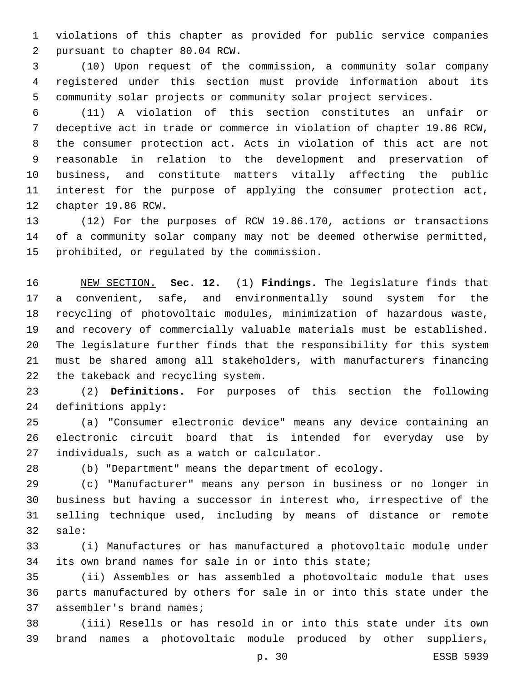violations of this chapter as provided for public service companies 2 pursuant to chapter 80.04 RCW.

 (10) Upon request of the commission, a community solar company registered under this section must provide information about its community solar projects or community solar project services.

 (11) A violation of this section constitutes an unfair or deceptive act in trade or commerce in violation of chapter 19.86 RCW, the consumer protection act. Acts in violation of this act are not reasonable in relation to the development and preservation of business, and constitute matters vitally affecting the public interest for the purpose of applying the consumer protection act, 12 chapter 19.86 RCW.

 (12) For the purposes of RCW 19.86.170, actions or transactions of a community solar company may not be deemed otherwise permitted, 15 prohibited, or regulated by the commission.

 NEW SECTION. **Sec. 12.** (1) **Findings.** The legislature finds that a convenient, safe, and environmentally sound system for the recycling of photovoltaic modules, minimization of hazardous waste, and recovery of commercially valuable materials must be established. The legislature further finds that the responsibility for this system must be shared among all stakeholders, with manufacturers financing the takeback and recycling system.

 (2) **Definitions.** For purposes of this section the following 24 definitions apply:

 (a) "Consumer electronic device" means any device containing an electronic circuit board that is intended for everyday use by 27 individuals, such as a watch or calculator.

(b) "Department" means the department of ecology.

 (c) "Manufacturer" means any person in business or no longer in business but having a successor in interest who, irrespective of the selling technique used, including by means of distance or remote 32 sale:

 (i) Manufactures or has manufactured a photovoltaic module under its own brand names for sale in or into this state;

 (ii) Assembles or has assembled a photovoltaic module that uses parts manufactured by others for sale in or into this state under the 37 assembler's brand names;

 (iii) Resells or has resold in or into this state under its own brand names a photovoltaic module produced by other suppliers,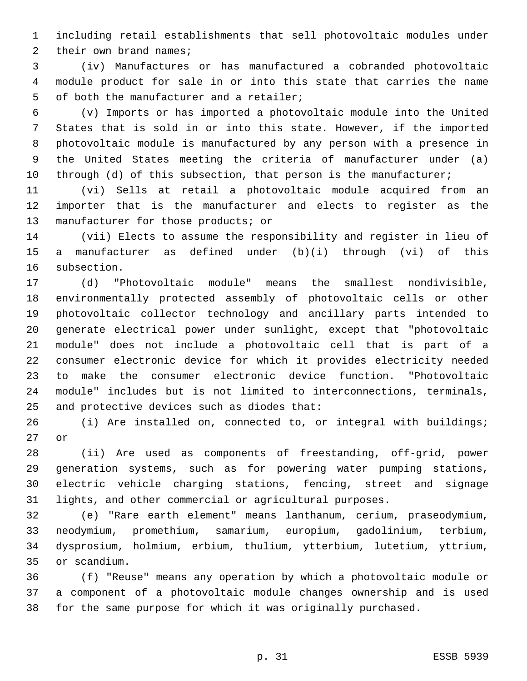including retail establishments that sell photovoltaic modules under 2 their own brand names;

 (iv) Manufactures or has manufactured a cobranded photovoltaic module product for sale in or into this state that carries the name 5 of both the manufacturer and a retailer;

 (v) Imports or has imported a photovoltaic module into the United States that is sold in or into this state. However, if the imported photovoltaic module is manufactured by any person with a presence in the United States meeting the criteria of manufacturer under (a) 10 through (d) of this subsection, that person is the manufacturer;

 (vi) Sells at retail a photovoltaic module acquired from an importer that is the manufacturer and elects to register as the 13 manufacturer for those products; or

 (vii) Elects to assume the responsibility and register in lieu of a manufacturer as defined under (b)(i) through (vi) of this 16 subsection.

 (d) "Photovoltaic module" means the smallest nondivisible, environmentally protected assembly of photovoltaic cells or other photovoltaic collector technology and ancillary parts intended to generate electrical power under sunlight, except that "photovoltaic module" does not include a photovoltaic cell that is part of a consumer electronic device for which it provides electricity needed to make the consumer electronic device function. "Photovoltaic module" includes but is not limited to interconnections, terminals, 25 and protective devices such as diodes that:

 (i) Are installed on, connected to, or integral with buildings; 27 or

 (ii) Are used as components of freestanding, off-grid, power generation systems, such as for powering water pumping stations, electric vehicle charging stations, fencing, street and signage lights, and other commercial or agricultural purposes.

 (e) "Rare earth element" means lanthanum, cerium, praseodymium, neodymium, promethium, samarium, europium, gadolinium, terbium, dysprosium, holmium, erbium, thulium, ytterbium, lutetium, yttrium, or scandium.35

 (f) "Reuse" means any operation by which a photovoltaic module or a component of a photovoltaic module changes ownership and is used for the same purpose for which it was originally purchased.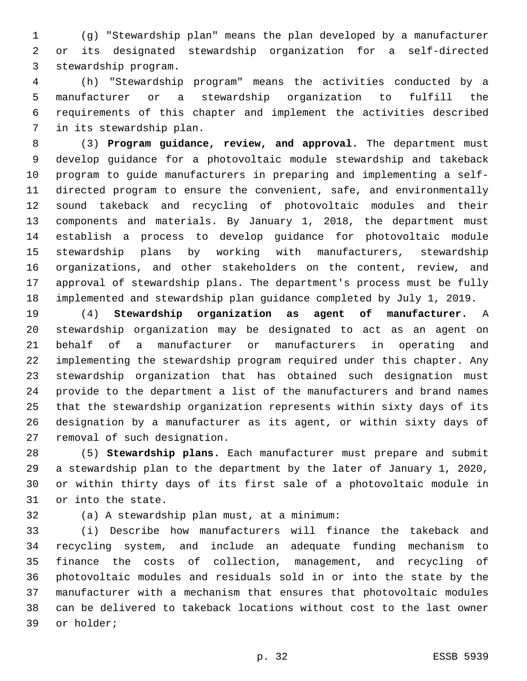(g) "Stewardship plan" means the plan developed by a manufacturer or its designated stewardship organization for a self-directed 3 stewardship program.

 (h) "Stewardship program" means the activities conducted by a manufacturer or a stewardship organization to fulfill the requirements of this chapter and implement the activities described 7 in its stewardship plan.

 (3) **Program guidance, review, and approval.** The department must develop guidance for a photovoltaic module stewardship and takeback program to guide manufacturers in preparing and implementing a self- directed program to ensure the convenient, safe, and environmentally sound takeback and recycling of photovoltaic modules and their components and materials. By January 1, 2018, the department must establish a process to develop guidance for photovoltaic module stewardship plans by working with manufacturers, stewardship organizations, and other stakeholders on the content, review, and approval of stewardship plans. The department's process must be fully implemented and stewardship plan guidance completed by July 1, 2019.

 (4) **Stewardship organization as agent of manufacturer.** A stewardship organization may be designated to act as an agent on behalf of a manufacturer or manufacturers in operating and implementing the stewardship program required under this chapter. Any stewardship organization that has obtained such designation must provide to the department a list of the manufacturers and brand names that the stewardship organization represents within sixty days of its designation by a manufacturer as its agent, or within sixty days of 27 removal of such designation.

 (5) **Stewardship plans.** Each manufacturer must prepare and submit a stewardship plan to the department by the later of January 1, 2020, or within thirty days of its first sale of a photovoltaic module in 31 or into the state.

(a) A stewardship plan must, at a minimum:32

 (i) Describe how manufacturers will finance the takeback and recycling system, and include an adequate funding mechanism to finance the costs of collection, management, and recycling of photovoltaic modules and residuals sold in or into the state by the manufacturer with a mechanism that ensures that photovoltaic modules can be delivered to takeback locations without cost to the last owner 39 or holder;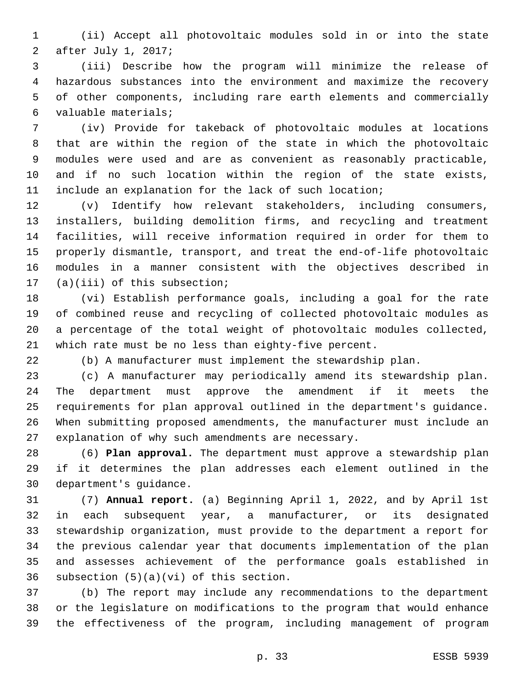(ii) Accept all photovoltaic modules sold in or into the state 2 after July 1, 2017;

 (iii) Describe how the program will minimize the release of hazardous substances into the environment and maximize the recovery of other components, including rare earth elements and commercially valuable materials;6

 (iv) Provide for takeback of photovoltaic modules at locations that are within the region of the state in which the photovoltaic modules were used and are as convenient as reasonably practicable, and if no such location within the region of the state exists, include an explanation for the lack of such location;

 (v) Identify how relevant stakeholders, including consumers, installers, building demolition firms, and recycling and treatment facilities, will receive information required in order for them to properly dismantle, transport, and treat the end-of-life photovoltaic modules in a manner consistent with the objectives described in 17 (a)(iii) of this subsection;

 (vi) Establish performance goals, including a goal for the rate of combined reuse and recycling of collected photovoltaic modules as a percentage of the total weight of photovoltaic modules collected, which rate must be no less than eighty-five percent.

(b) A manufacturer must implement the stewardship plan.

 (c) A manufacturer may periodically amend its stewardship plan. The department must approve the amendment if it meets the requirements for plan approval outlined in the department's guidance. When submitting proposed amendments, the manufacturer must include an 27 explanation of why such amendments are necessary.

 (6) **Plan approval.** The department must approve a stewardship plan if it determines the plan addresses each element outlined in the 30 department's quidance.

 (7) **Annual report.** (a) Beginning April 1, 2022, and by April 1st in each subsequent year, a manufacturer, or its designated stewardship organization, must provide to the department a report for the previous calendar year that documents implementation of the plan and assesses achievement of the performance goals established in 36 subsection  $(5)(a)(vi)$  of this section.

 (b) The report may include any recommendations to the department or the legislature on modifications to the program that would enhance the effectiveness of the program, including management of program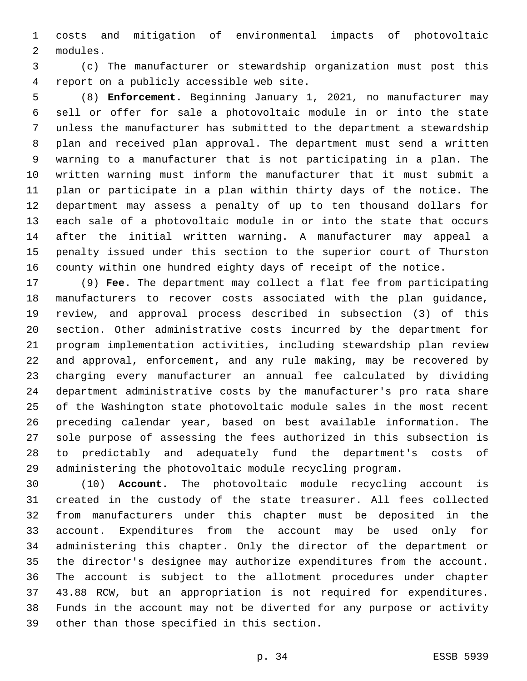costs and mitigation of environmental impacts of photovoltaic 2 modules.

 (c) The manufacturer or stewardship organization must post this 4 report on a publicly accessible web site.

 (8) **Enforcement.** Beginning January 1, 2021, no manufacturer may sell or offer for sale a photovoltaic module in or into the state unless the manufacturer has submitted to the department a stewardship plan and received plan approval. The department must send a written warning to a manufacturer that is not participating in a plan. The written warning must inform the manufacturer that it must submit a plan or participate in a plan within thirty days of the notice. The department may assess a penalty of up to ten thousand dollars for each sale of a photovoltaic module in or into the state that occurs after the initial written warning. A manufacturer may appeal a penalty issued under this section to the superior court of Thurston county within one hundred eighty days of receipt of the notice.

 (9) **Fee.** The department may collect a flat fee from participating manufacturers to recover costs associated with the plan guidance, review, and approval process described in subsection (3) of this section. Other administrative costs incurred by the department for program implementation activities, including stewardship plan review and approval, enforcement, and any rule making, may be recovered by charging every manufacturer an annual fee calculated by dividing department administrative costs by the manufacturer's pro rata share of the Washington state photovoltaic module sales in the most recent preceding calendar year, based on best available information. The sole purpose of assessing the fees authorized in this subsection is to predictably and adequately fund the department's costs of administering the photovoltaic module recycling program.

 (10) **Account.** The photovoltaic module recycling account is created in the custody of the state treasurer. All fees collected from manufacturers under this chapter must be deposited in the account. Expenditures from the account may be used only for administering this chapter. Only the director of the department or the director's designee may authorize expenditures from the account. The account is subject to the allotment procedures under chapter 43.88 RCW, but an appropriation is not required for expenditures. Funds in the account may not be diverted for any purpose or activity 39 other than those specified in this section.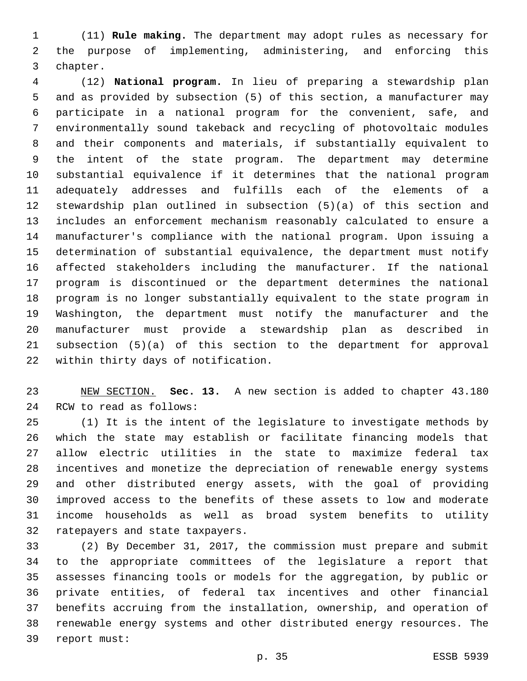(11) **Rule making.** The department may adopt rules as necessary for the purpose of implementing, administering, and enforcing this 3 chapter.

 (12) **National program.** In lieu of preparing a stewardship plan and as provided by subsection (5) of this section, a manufacturer may participate in a national program for the convenient, safe, and environmentally sound takeback and recycling of photovoltaic modules and their components and materials, if substantially equivalent to the intent of the state program. The department may determine substantial equivalence if it determines that the national program adequately addresses and fulfills each of the elements of a stewardship plan outlined in subsection (5)(a) of this section and includes an enforcement mechanism reasonably calculated to ensure a manufacturer's compliance with the national program. Upon issuing a determination of substantial equivalence, the department must notify affected stakeholders including the manufacturer. If the national program is discontinued or the department determines the national program is no longer substantially equivalent to the state program in Washington, the department must notify the manufacturer and the manufacturer must provide a stewardship plan as described in subsection (5)(a) of this section to the department for approval 22 within thirty days of notification.

 NEW SECTION. **Sec. 13.** A new section is added to chapter 43.180 24 RCW to read as follows:

 (1) It is the intent of the legislature to investigate methods by which the state may establish or facilitate financing models that allow electric utilities in the state to maximize federal tax incentives and monetize the depreciation of renewable energy systems and other distributed energy assets, with the goal of providing improved access to the benefits of these assets to low and moderate income households as well as broad system benefits to utility 32 ratepayers and state taxpayers.

 (2) By December 31, 2017, the commission must prepare and submit to the appropriate committees of the legislature a report that assesses financing tools or models for the aggregation, by public or private entities, of federal tax incentives and other financial benefits accruing from the installation, ownership, and operation of renewable energy systems and other distributed energy resources. The 39 report must: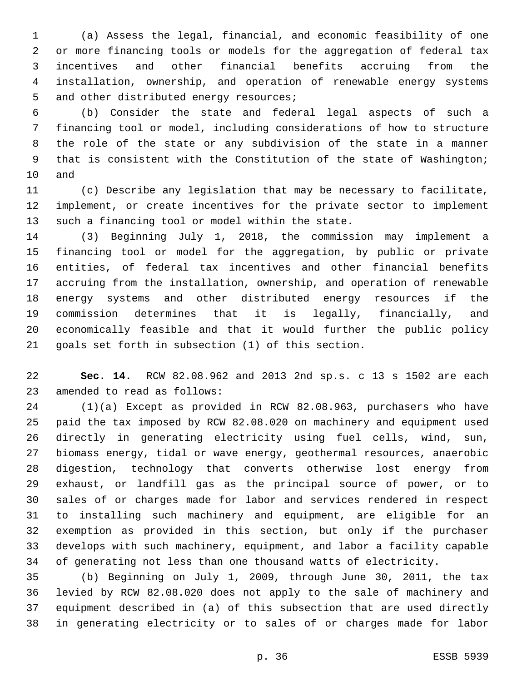(a) Assess the legal, financial, and economic feasibility of one or more financing tools or models for the aggregation of federal tax incentives and other financial benefits accruing from the installation, ownership, and operation of renewable energy systems 5 and other distributed energy resources;

 (b) Consider the state and federal legal aspects of such a financing tool or model, including considerations of how to structure the role of the state or any subdivision of the state in a manner that is consistent with the Constitution of the state of Washington; 10 and

 (c) Describe any legislation that may be necessary to facilitate, implement, or create incentives for the private sector to implement 13 such a financing tool or model within the state.

 (3) Beginning July 1, 2018, the commission may implement a financing tool or model for the aggregation, by public or private entities, of federal tax incentives and other financial benefits accruing from the installation, ownership, and operation of renewable energy systems and other distributed energy resources if the commission determines that it is legally, financially, and economically feasible and that it would further the public policy goals set forth in subsection (1) of this section.

 **Sec. 14.** RCW 82.08.962 and 2013 2nd sp.s. c 13 s 1502 are each 23 amended to read as follows:

 (1)(a) Except as provided in RCW 82.08.963, purchasers who have paid the tax imposed by RCW 82.08.020 on machinery and equipment used directly in generating electricity using fuel cells, wind, sun, biomass energy, tidal or wave energy, geothermal resources, anaerobic digestion, technology that converts otherwise lost energy from exhaust, or landfill gas as the principal source of power, or to sales of or charges made for labor and services rendered in respect to installing such machinery and equipment, are eligible for an exemption as provided in this section, but only if the purchaser develops with such machinery, equipment, and labor a facility capable of generating not less than one thousand watts of electricity.

 (b) Beginning on July 1, 2009, through June 30, 2011, the tax levied by RCW 82.08.020 does not apply to the sale of machinery and equipment described in (a) of this subsection that are used directly in generating electricity or to sales of or charges made for labor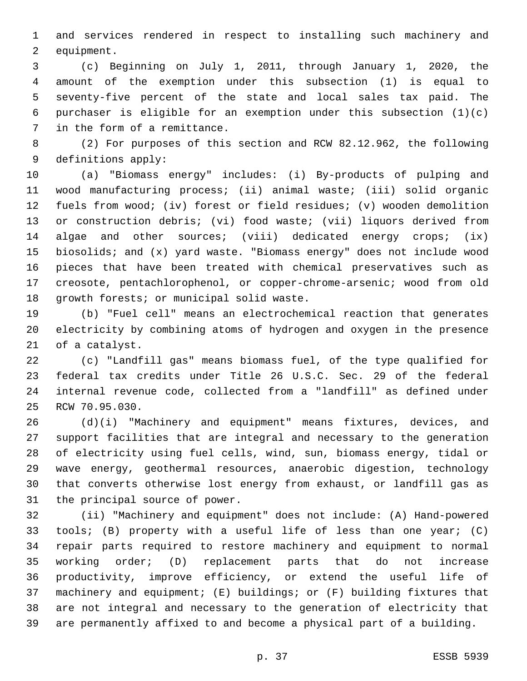and services rendered in respect to installing such machinery and 2 equipment.

 (c) Beginning on July 1, 2011, through January 1, 2020, the amount of the exemption under this subsection (1) is equal to seventy-five percent of the state and local sales tax paid. The purchaser is eligible for an exemption under this subsection (1)(c) 7 in the form of a remittance.

 (2) For purposes of this section and RCW 82.12.962, the following 9 definitions apply:

 (a) "Biomass energy" includes: (i) By-products of pulping and wood manufacturing process; (ii) animal waste; (iii) solid organic fuels from wood; (iv) forest or field residues; (v) wooden demolition or construction debris; (vi) food waste; (vii) liquors derived from algae and other sources; (viii) dedicated energy crops; (ix) biosolids; and (x) yard waste. "Biomass energy" does not include wood pieces that have been treated with chemical preservatives such as creosote, pentachlorophenol, or copper-chrome-arsenic; wood from old 18 qrowth forests; or municipal solid waste.

 (b) "Fuel cell" means an electrochemical reaction that generates electricity by combining atoms of hydrogen and oxygen in the presence 21 of a catalyst.

 (c) "Landfill gas" means biomass fuel, of the type qualified for federal tax credits under Title 26 U.S.C. Sec. 29 of the federal internal revenue code, collected from a "landfill" as defined under 25 RCW 70.95.030.

 (d)(i) "Machinery and equipment" means fixtures, devices, and support facilities that are integral and necessary to the generation of electricity using fuel cells, wind, sun, biomass energy, tidal or wave energy, geothermal resources, anaerobic digestion, technology that converts otherwise lost energy from exhaust, or landfill gas as 31 the principal source of power.

 (ii) "Machinery and equipment" does not include: (A) Hand-powered tools; (B) property with a useful life of less than one year; (C) repair parts required to restore machinery and equipment to normal working order; (D) replacement parts that do not increase productivity, improve efficiency, or extend the useful life of machinery and equipment; (E) buildings; or (F) building fixtures that are not integral and necessary to the generation of electricity that are permanently affixed to and become a physical part of a building.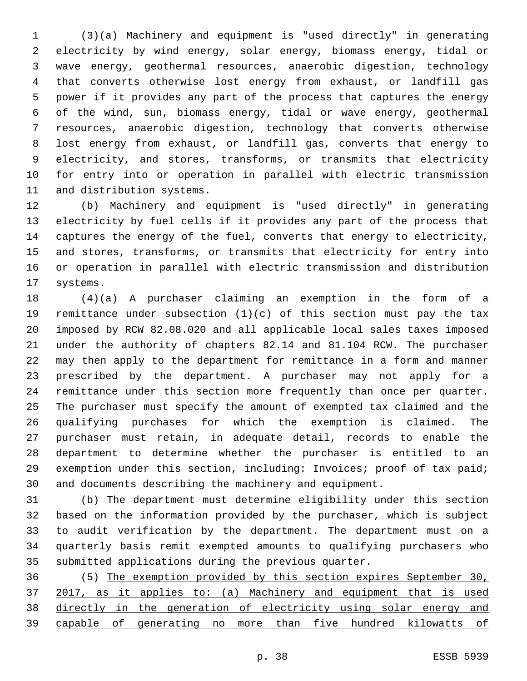(3)(a) Machinery and equipment is "used directly" in generating electricity by wind energy, solar energy, biomass energy, tidal or wave energy, geothermal resources, anaerobic digestion, technology that converts otherwise lost energy from exhaust, or landfill gas power if it provides any part of the process that captures the energy of the wind, sun, biomass energy, tidal or wave energy, geothermal resources, anaerobic digestion, technology that converts otherwise lost energy from exhaust, or landfill gas, converts that energy to electricity, and stores, transforms, or transmits that electricity for entry into or operation in parallel with electric transmission 11 and distribution systems.

 (b) Machinery and equipment is "used directly" in generating electricity by fuel cells if it provides any part of the process that captures the energy of the fuel, converts that energy to electricity, and stores, transforms, or transmits that electricity for entry into or operation in parallel with electric transmission and distribution 17 systems.

 (4)(a) A purchaser claiming an exemption in the form of a remittance under subsection (1)(c) of this section must pay the tax imposed by RCW 82.08.020 and all applicable local sales taxes imposed under the authority of chapters 82.14 and 81.104 RCW. The purchaser may then apply to the department for remittance in a form and manner prescribed by the department. A purchaser may not apply for a remittance under this section more frequently than once per quarter. The purchaser must specify the amount of exempted tax claimed and the qualifying purchases for which the exemption is claimed. The purchaser must retain, in adequate detail, records to enable the department to determine whether the purchaser is entitled to an exemption under this section, including: Invoices; proof of tax paid; and documents describing the machinery and equipment.

 (b) The department must determine eligibility under this section based on the information provided by the purchaser, which is subject to audit verification by the department. The department must on a quarterly basis remit exempted amounts to qualifying purchasers who submitted applications during the previous quarter.

 (5) The exemption provided by this section expires September 30, 2017, as it applies to: (a) Machinery and equipment that is used directly in the generation of electricity using solar energy and capable of generating no more than five hundred kilowatts of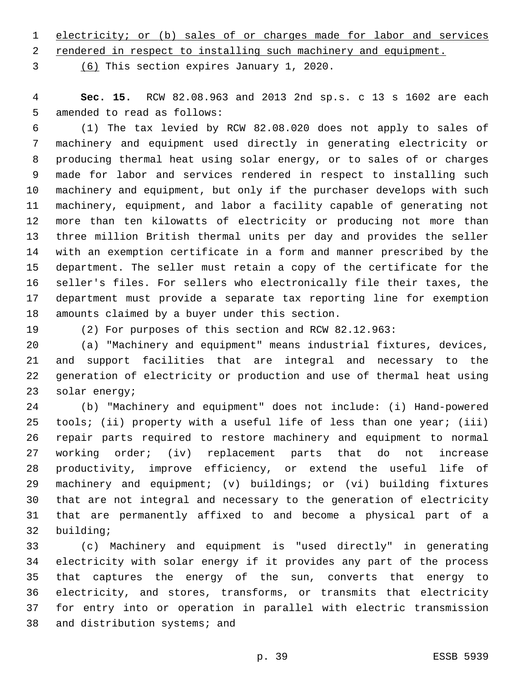electricity; or (b) sales of or charges made for labor and services

rendered in respect to installing such machinery and equipment.

(6) This section expires January 1, 2020.3

 **Sec. 15.** RCW 82.08.963 and 2013 2nd sp.s. c 13 s 1602 are each 5 amended to read as follows:

 (1) The tax levied by RCW 82.08.020 does not apply to sales of machinery and equipment used directly in generating electricity or producing thermal heat using solar energy, or to sales of or charges made for labor and services rendered in respect to installing such machinery and equipment, but only if the purchaser develops with such machinery, equipment, and labor a facility capable of generating not more than ten kilowatts of electricity or producing not more than three million British thermal units per day and provides the seller with an exemption certificate in a form and manner prescribed by the department. The seller must retain a copy of the certificate for the seller's files. For sellers who electronically file their taxes, the department must provide a separate tax reporting line for exemption 18 amounts claimed by a buyer under this section.

(2) For purposes of this section and RCW 82.12.963:

 (a) "Machinery and equipment" means industrial fixtures, devices, and support facilities that are integral and necessary to the generation of electricity or production and use of thermal heat using 23 solar energy;

 (b) "Machinery and equipment" does not include: (i) Hand-powered 25 tools; (ii) property with a useful life of less than one year; (iii) repair parts required to restore machinery and equipment to normal working order; (iv) replacement parts that do not increase productivity, improve efficiency, or extend the useful life of machinery and equipment; (v) buildings; or (vi) building fixtures that are not integral and necessary to the generation of electricity that are permanently affixed to and become a physical part of a 32 building;

 (c) Machinery and equipment is "used directly" in generating electricity with solar energy if it provides any part of the process that captures the energy of the sun, converts that energy to electricity, and stores, transforms, or transmits that electricity for entry into or operation in parallel with electric transmission 38 and distribution systems; and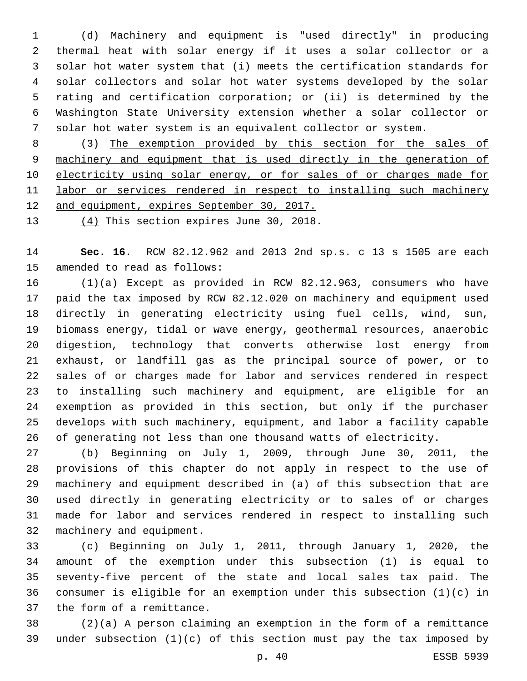(d) Machinery and equipment is "used directly" in producing thermal heat with solar energy if it uses a solar collector or a solar hot water system that (i) meets the certification standards for solar collectors and solar hot water systems developed by the solar rating and certification corporation; or (ii) is determined by the Washington State University extension whether a solar collector or solar hot water system is an equivalent collector or system.

 (3) The exemption provided by this section for the sales of machinery and equipment that is used directly in the generation of 10 electricity using solar energy, or for sales of or charges made for labor or services rendered in respect to installing such machinery and equipment, expires September 30, 2017.

13  $(4)$  This section expires June 30, 2018.

 **Sec. 16.** RCW 82.12.962 and 2013 2nd sp.s. c 13 s 1505 are each 15 amended to read as follows:

 (1)(a) Except as provided in RCW 82.12.963, consumers who have paid the tax imposed by RCW 82.12.020 on machinery and equipment used directly in generating electricity using fuel cells, wind, sun, biomass energy, tidal or wave energy, geothermal resources, anaerobic digestion, technology that converts otherwise lost energy from exhaust, or landfill gas as the principal source of power, or to sales of or charges made for labor and services rendered in respect to installing such machinery and equipment, are eligible for an exemption as provided in this section, but only if the purchaser develops with such machinery, equipment, and labor a facility capable of generating not less than one thousand watts of electricity.

 (b) Beginning on July 1, 2009, through June 30, 2011, the provisions of this chapter do not apply in respect to the use of machinery and equipment described in (a) of this subsection that are used directly in generating electricity or to sales of or charges made for labor and services rendered in respect to installing such 32 machinery and equipment.

 (c) Beginning on July 1, 2011, through January 1, 2020, the amount of the exemption under this subsection (1) is equal to seventy-five percent of the state and local sales tax paid. The consumer is eligible for an exemption under this subsection (1)(c) in 37 the form of a remittance.

 (2)(a) A person claiming an exemption in the form of a remittance under subsection (1)(c) of this section must pay the tax imposed by

p. 40 ESSB 5939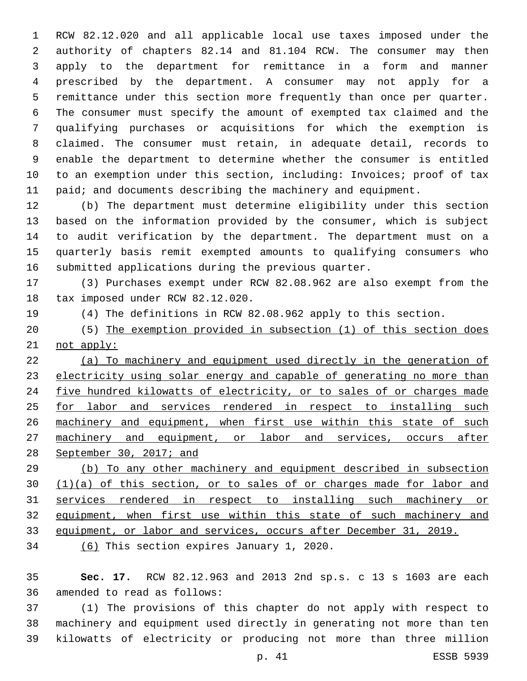RCW 82.12.020 and all applicable local use taxes imposed under the authority of chapters 82.14 and 81.104 RCW. The consumer may then apply to the department for remittance in a form and manner prescribed by the department. A consumer may not apply for a remittance under this section more frequently than once per quarter. The consumer must specify the amount of exempted tax claimed and the qualifying purchases or acquisitions for which the exemption is claimed. The consumer must retain, in adequate detail, records to enable the department to determine whether the consumer is entitled to an exemption under this section, including: Invoices; proof of tax 11 paid; and documents describing the machinery and equipment.

 (b) The department must determine eligibility under this section based on the information provided by the consumer, which is subject to audit verification by the department. The department must on a quarterly basis remit exempted amounts to qualifying consumers who submitted applications during the previous quarter.

 (3) Purchases exempt under RCW 82.08.962 are also exempt from the 18 tax imposed under RCW 82.12.020.

- (4) The definitions in RCW 82.08.962 apply to this section.
- (5) The exemption provided in subsection (1) of this section does not apply:

 (a) To machinery and equipment used directly in the generation of electricity using solar energy and capable of generating no more than five hundred kilowatts of electricity, or to sales of or charges made 25 for labor and services rendered in respect to installing such 26 machinery and equipment, when first use within this state of such machinery and equipment, or labor and services, occurs after September 30, 2017; and

 (b) To any other machinery and equipment described in subsection 30 (1)(a) of this section, or to sales of or charges made for labor and services rendered in respect to installing such machinery or equipment, when first use within this state of such machinery and equipment, or labor and services, occurs after December 31, 2019.

34 (6) This section expires January 1, 2020.

 **Sec. 17.** RCW 82.12.963 and 2013 2nd sp.s. c 13 s 1603 are each 36 amended to read as follows:

 (1) The provisions of this chapter do not apply with respect to machinery and equipment used directly in generating not more than ten kilowatts of electricity or producing not more than three million